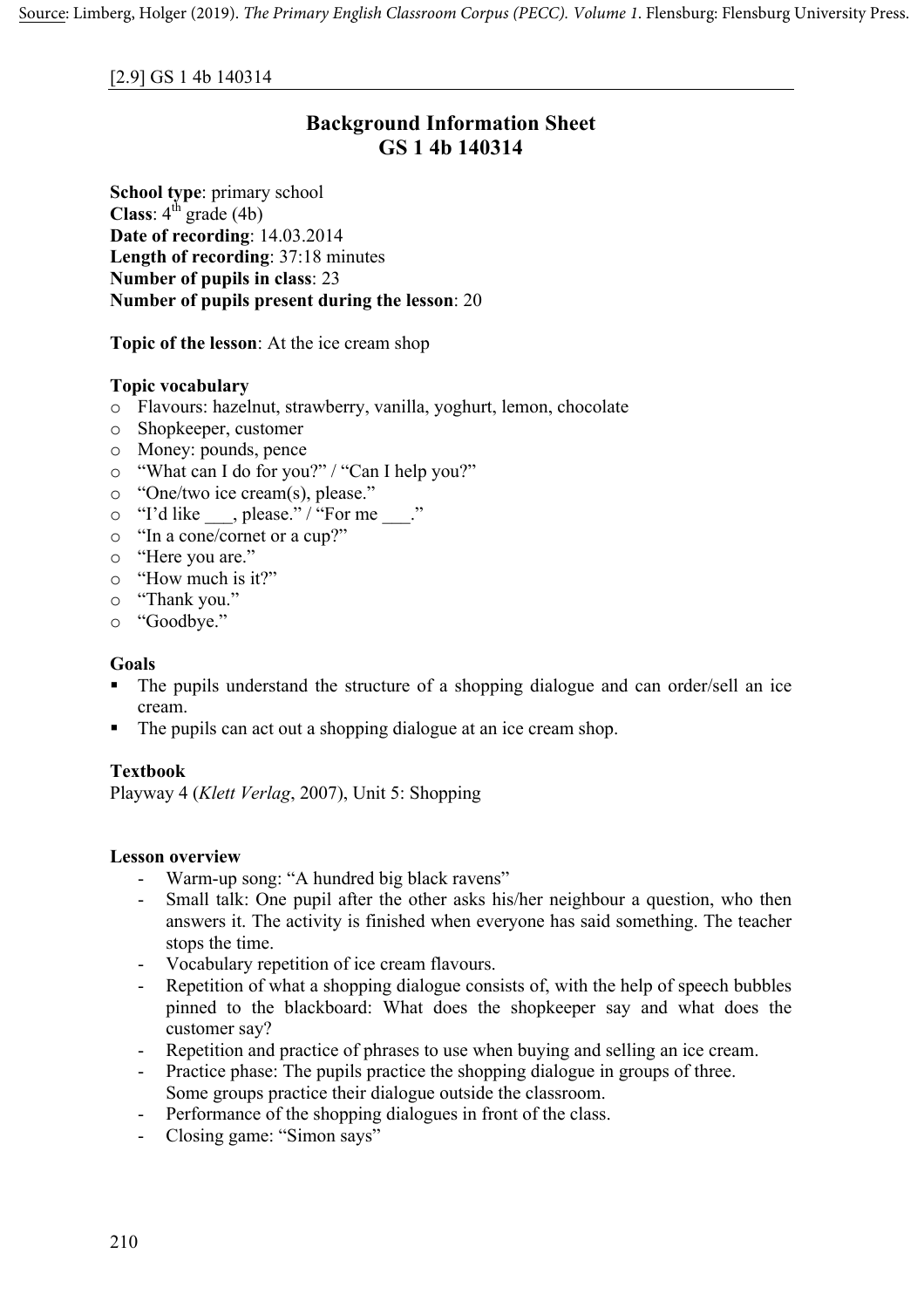#### [2.9] GS 1 4b 140314

# **Background Information Sheet GS 1 4b 140314**

**School type**: primary school **Class**:  $4^{\text{th}}$  grade (4b) **Date of recording**: 14.03.2014 **Length of recording**: 37:18 minutes **Number of pupils in class**: 23 **Number of pupils present during the lesson**: 20

**Topic of the lesson**: At the ice cream shop

### **Topic vocabulary**

- o Flavours: hazelnut, strawberry, vanilla, yoghurt, lemon, chocolate
- o Shopkeeper, customer
- o Money: pounds, pence
- o "What can I do for you?" / "Can I help you?"
- o "One/two ice cream(s), please."
- $\circ$  "I'd like \_\_\_, please." / "For me \_\_\_."
- o "In a cone/cornet or a cup?"
- o "Here you are."
- o "How much is it?"
- o "Thank you."
- o "Goodbye."

#### **Goals**

- The pupils understand the structure of a shopping dialogue and can order/sell an ice cream.
- The pupils can act out a shopping dialogue at an ice cream shop.

#### **Textbook**

Playway 4 (*Klett Verlag*, 2007), Unit 5: Shopping

#### **Lesson overview**

- Warm-up song: "A hundred big black ravens"
- Small talk: One pupil after the other asks his/her neighbour a question, who then answers it. The activity is finished when everyone has said something. The teacher stops the time.
- Vocabulary repetition of ice cream flavours.
- Repetition of what a shopping dialogue consists of, with the help of speech bubbles pinned to the blackboard: What does the shopkeeper say and what does the customer say?
- Repetition and practice of phrases to use when buying and selling an ice cream.
- Practice phase: The pupils practice the shopping dialogue in groups of three. Some groups practice their dialogue outside the classroom.
- Performance of the shopping dialogues in front of the class.
- Closing game: "Simon says"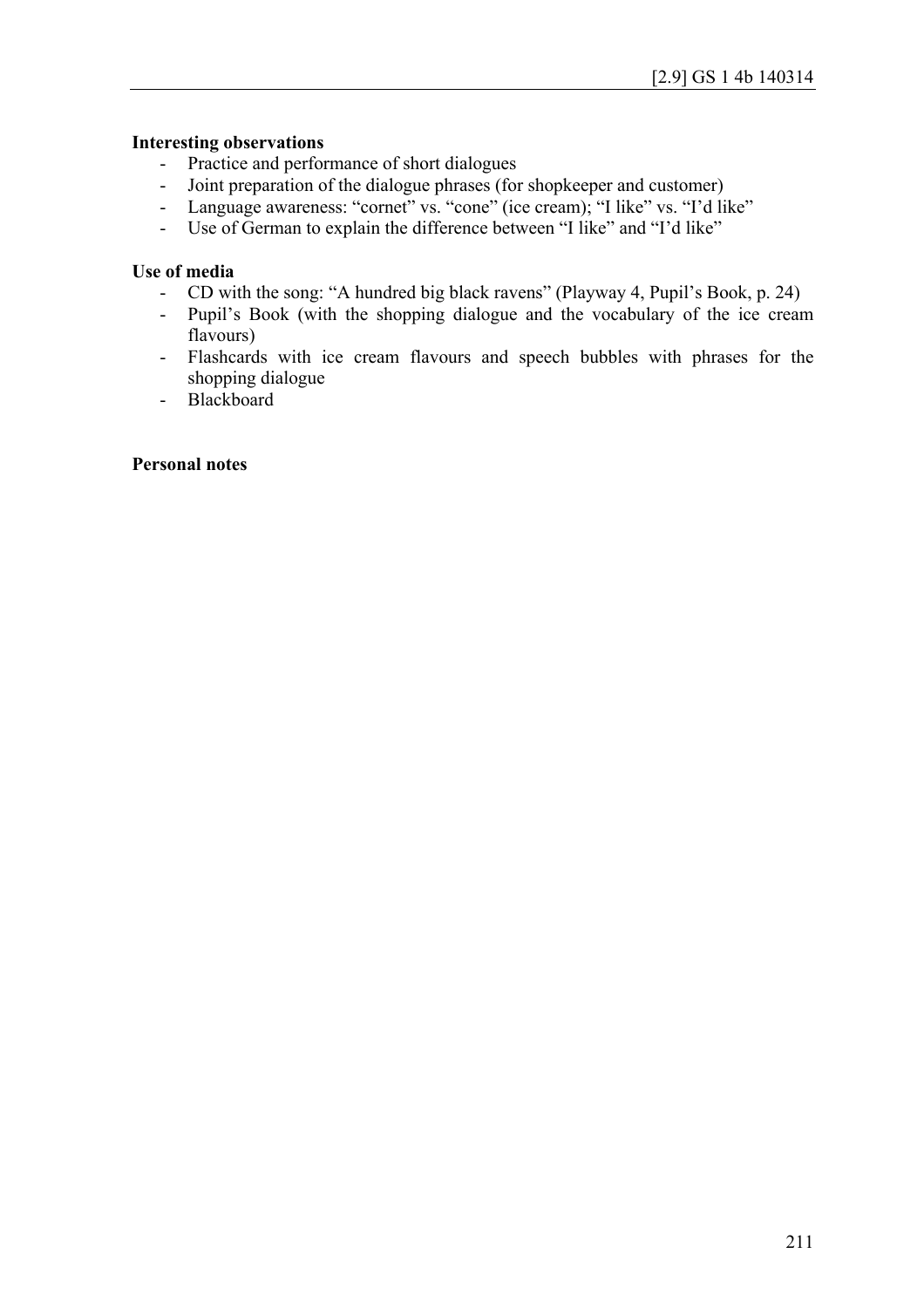#### **Interesting observations**

- Practice and performance of short dialogues
- Joint preparation of the dialogue phrases (for shopkeeper and customer)
- Language awareness: "cornet" vs. "cone" (ice cream); "I like" vs. "I'd like"
- Use of German to explain the difference between "I like" and "I'd like"

## **Use of media**

- CD with the song: "A hundred big black ravens" (Playway 4, Pupil's Book, p. 24)
- Pupil's Book (with the shopping dialogue and the vocabulary of the ice cream flavours)
- Flashcards with ice cream flavours and speech bubbles with phrases for the shopping dialogue
- Blackboard

#### **Personal notes**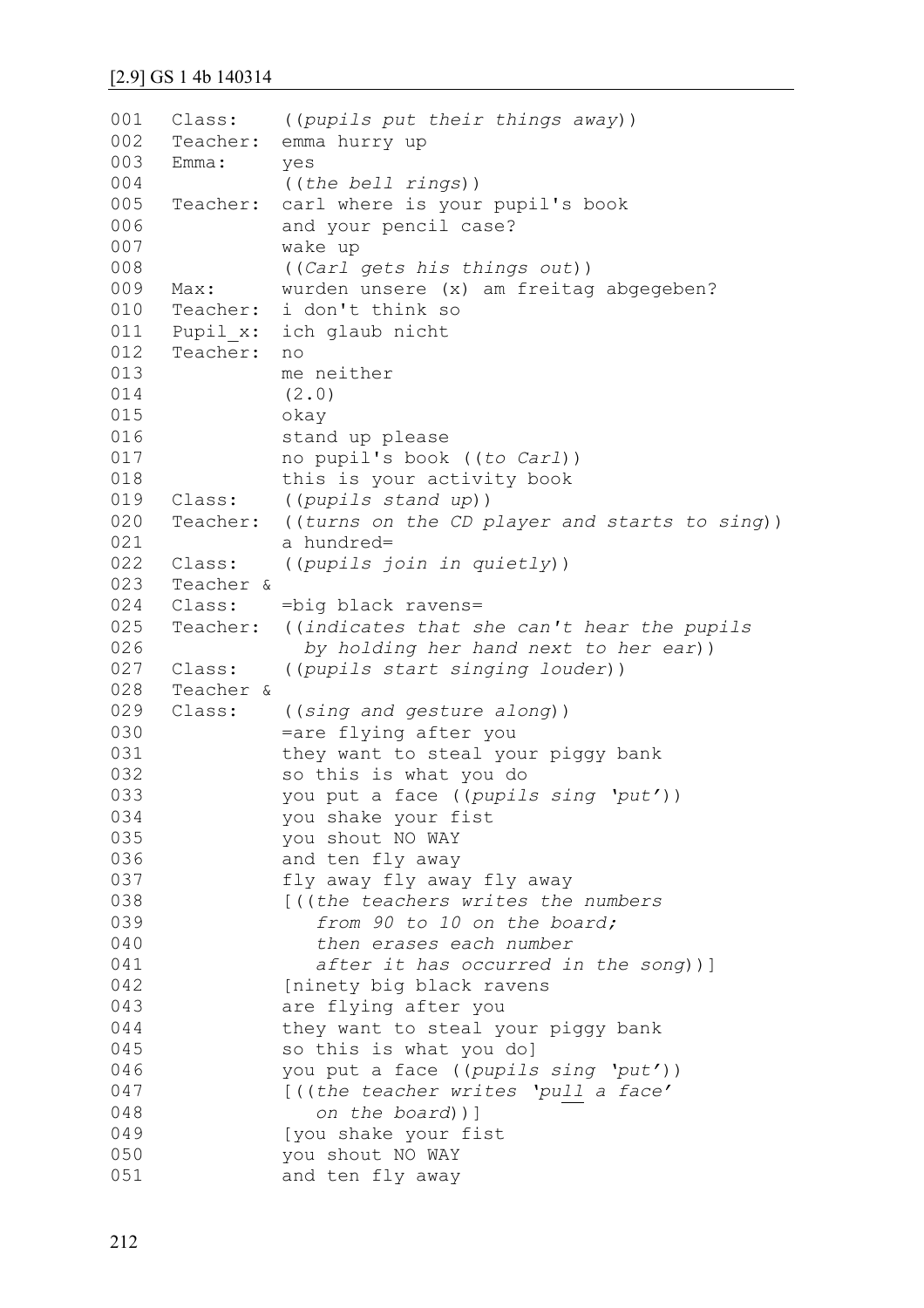```
001
002
003
0<sub>0</sub>4005
006
007
008
009
010
011
012
013
014
015
016
017
018
019
020
021
022
023
024
025
026
027
028
029
030
031
032
033
034
035
036
037
038
039
040
041
042
043
044
045
046
047
048
049
050
051
     Class: ((pupils put their things away))
     Teacher: emma hurry up
     Emma: yes
                ((the bell rings))
     Teacher: carl where is your pupil's book 
               and your pencil case? 
               wake up 
                ((Carl gets his things out))
     Max: wurden unsere (x) am freitag abgegeben?
     Teacher: i don't think so 
     Pupil x: ich glaub nicht
     Teacher: no 
               me neither
                (2.0)
               okay 
                stand up please
               no pupil's book ((to Carl))
               this is your activity book
     Class: ((pupils stand up)) 
     Teacher: ((turns on the CD player and starts to sing))
               a hundred=
     Class: ((pupils join in quietly))
     Teacher & 
     Class: =big black ravens=
     Teacher: ((indicates that she can't hear the pupils
                   by holding her hand next to her ear))
    Class: ((pupils start singing louder))
     Teacher & 
     Class: ((sing and gesture along))
                =are flying after you
               they want to steal your piggy bank 
               so this is what you do 
               you put a face ((pupils sing 'put'))
               you shake your fist 
               you shout NO WAY
               and ten fly away
               fly away fly away fly away 
               [((the teachers writes the numbers 
                    from 90 to 10 on the board; 
                    then erases each number
                    after it has occurred in the song))]
               [ninety big black ravens 
               are flying after you 
               they want to steal your piggy bank 
               so this is what you do]
               you put a face ((pupils sing 'put'))
               [((the teacher writes 'pull a face' 
                    on the board))]
               [you shake your fist 
               you shout NO WAY
               and ten fly away
```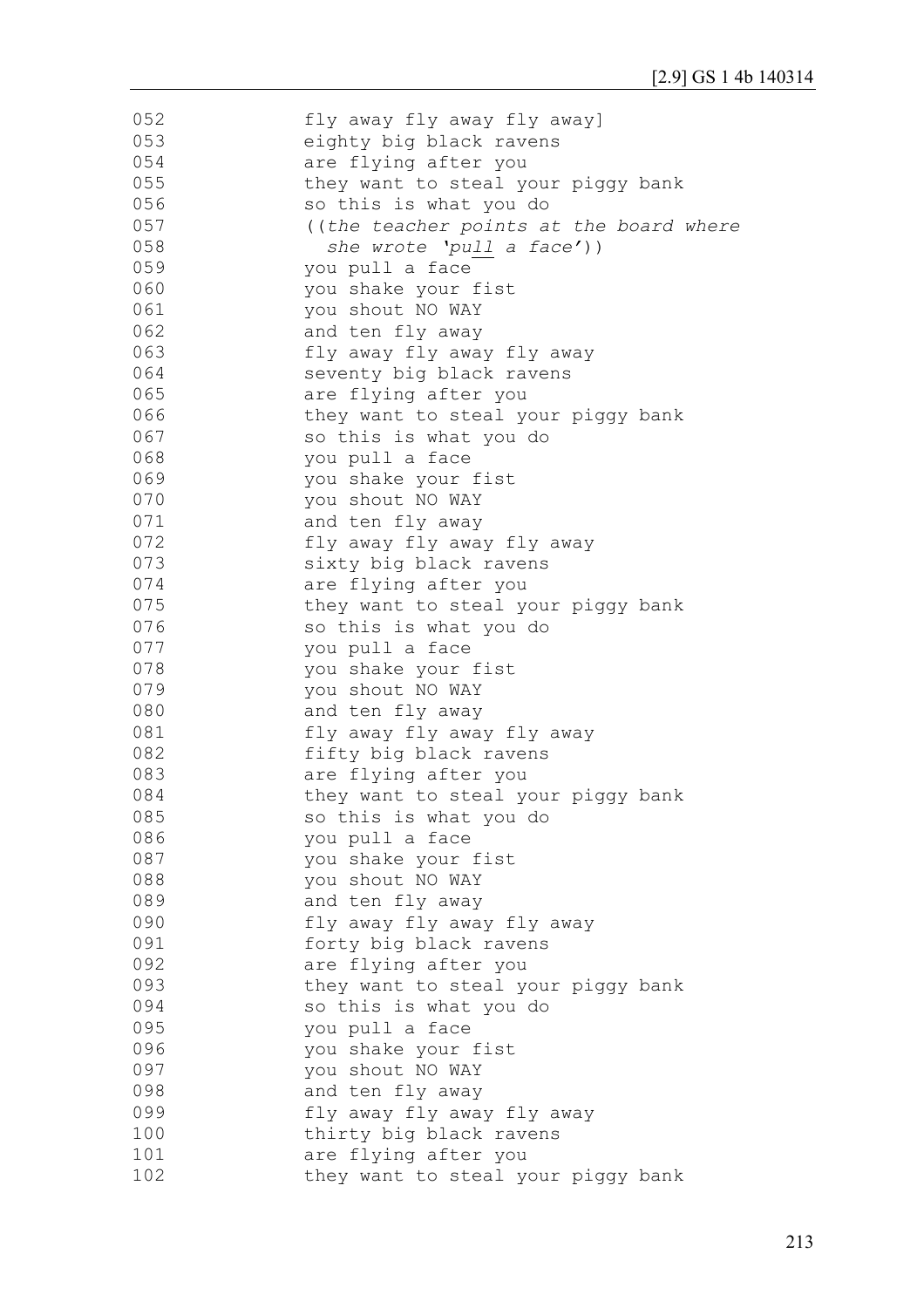| 052 | fly away fly away fly away]             |
|-----|-----------------------------------------|
| 053 | eighty big black ravens                 |
| 054 | are flying after you                    |
| 055 | they want to steal your piggy bank      |
| 056 | so this is what you do                  |
| 057 | ((the teacher points at the board where |
| 058 | she wrote 'pull a face'))               |
| 059 | you pull a face                         |
| 060 | you shake your fist                     |
| 061 | you shout NO WAY                        |
| 062 | and ten fly away                        |
| 063 | fly away fly away fly away              |
| 064 | seventy big black ravens                |
| 065 | are flying after you                    |
| 066 | they want to steal your piggy bank      |
| 067 | so this is what you do                  |
| 068 | you pull a face                         |
| 069 | you shake your fist                     |
| 070 | you shout NO WAY                        |
| 071 | and ten fly away                        |
| 072 | fly away fly away fly away              |
| 073 | sixty big black ravens                  |
| 074 | are flying after you                    |
| 075 | they want to steal your piggy bank      |
| 076 | so this is what you do                  |
| 077 | you pull a face                         |
| 078 | you shake your fist                     |
| 079 | you shout NO WAY                        |
| 080 | and ten fly away                        |
| 081 | fly away fly away fly away              |
| 082 | fifty big black ravens                  |
| 083 | are flying after you                    |
| 084 | they want to steal your piggy bank      |
| 085 | so this is what you do                  |
| 086 | you pull a face                         |
| 087 | you shake your fist                     |
| 088 | you shout NO WAY                        |
| 089 | and ten fly away                        |
| 090 | fly away fly away fly away              |
| 091 | forty big black ravens                  |
| 092 | are flying after you                    |
| 093 | they want to steal your piggy bank      |
| 094 | so this is what you do                  |
| 095 | you pull a face                         |
| 096 | you shake your fist                     |
| 097 | you shout NO WAY                        |
| 098 | and ten fly away                        |
| 099 | fly away fly away fly away              |
| 100 | thirty big black ravens                 |
| 101 | are flying after you                    |
| 102 | they want to steal your piggy bank      |
|     |                                         |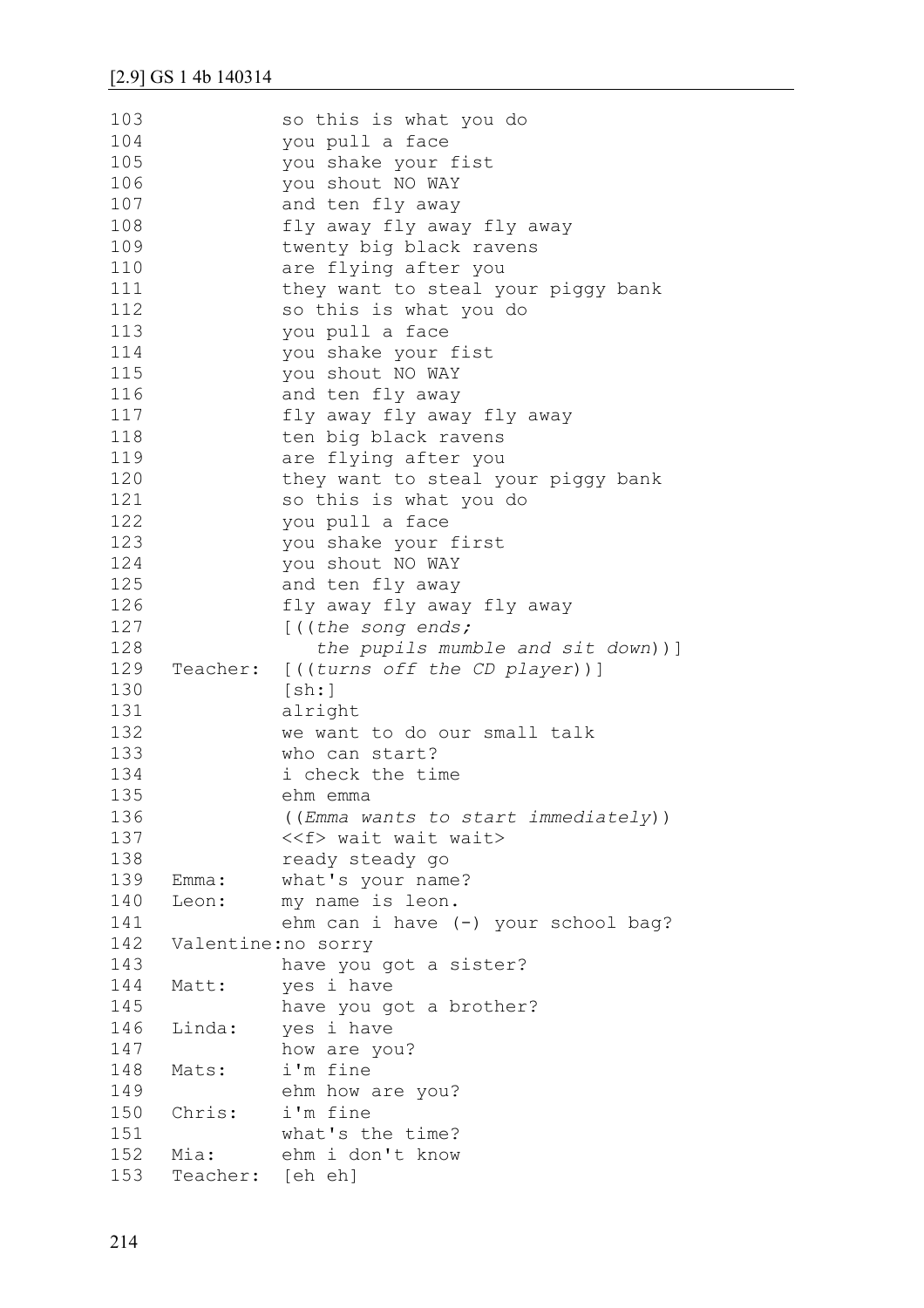| 103<br>104 |                     | so this is what you do<br>you pull a face |
|------------|---------------------|-------------------------------------------|
| 105        |                     | you shake your fist                       |
| 106        |                     | you shout NO WAY                          |
| 107        |                     | and ten fly away                          |
| 108        |                     | fly away fly away fly away                |
| 109        |                     | twenty big black ravens                   |
| 110        |                     | are flying after you                      |
| 111        |                     | they want to steal your piggy bank        |
| 112        |                     | so this is what you do                    |
| 113        |                     | you pull a face                           |
| 114        |                     | you shake your fist                       |
| 115        |                     | you shout NO WAY                          |
| 116        |                     | and ten fly away                          |
| 117        |                     | fly away fly away fly away                |
| 118        |                     | ten big black ravens                      |
| 119        |                     | are flying after you                      |
| 120        |                     | they want to steal your piggy bank        |
| 121        |                     | so this is what you do                    |
| 122        |                     | you pull a face                           |
| 123        |                     | you shake your first                      |
| 124        |                     | you shout NO WAY                          |
| 125        |                     | and ten fly away                          |
| 126        |                     | fly away fly away fly away                |
| 127        |                     | [((the song ends;                         |
| 128        |                     | the pupils mumble and sit down))]         |
| 129        |                     | Teacher: [((turns off the CD player))]    |
| 130        |                     | [sh:]                                     |
| 131        |                     | alright                                   |
| 132        |                     | we want to do our small talk              |
| 133        |                     | who can start?                            |
| 134        |                     | i check the time                          |
| 135        |                     | ehm emma                                  |
| 136        |                     | ((Emma wants to start immediately))       |
| 137        |                     | < <f> wait wait wait&gt;</f>              |
| 138        |                     | ready steady go                           |
| 139        | Emma:               | what's your name?                         |
| 140        | Leon:               | my name is leon.                          |
| 141        |                     | ehm can i have (-) your school bag?       |
| 142        | Valentine: no sorry |                                           |
| 143        |                     | have you got a sister?                    |
| 144        | Matt:               | yes i have                                |
| 145        |                     | have you got a brother?                   |
| 146        | Linda:              | yes i have                                |
| 147        |                     | how are you?                              |
| 148        | Mats:               | i'm fine                                  |
| 149        |                     | ehm how are you?                          |
| 150        | Chris:              | i'm fine                                  |
| 151        |                     | what's the time?                          |
| 152        | Mia:                | ehm i don't know                          |
| 153        | Teacher: [eh eh]    |                                           |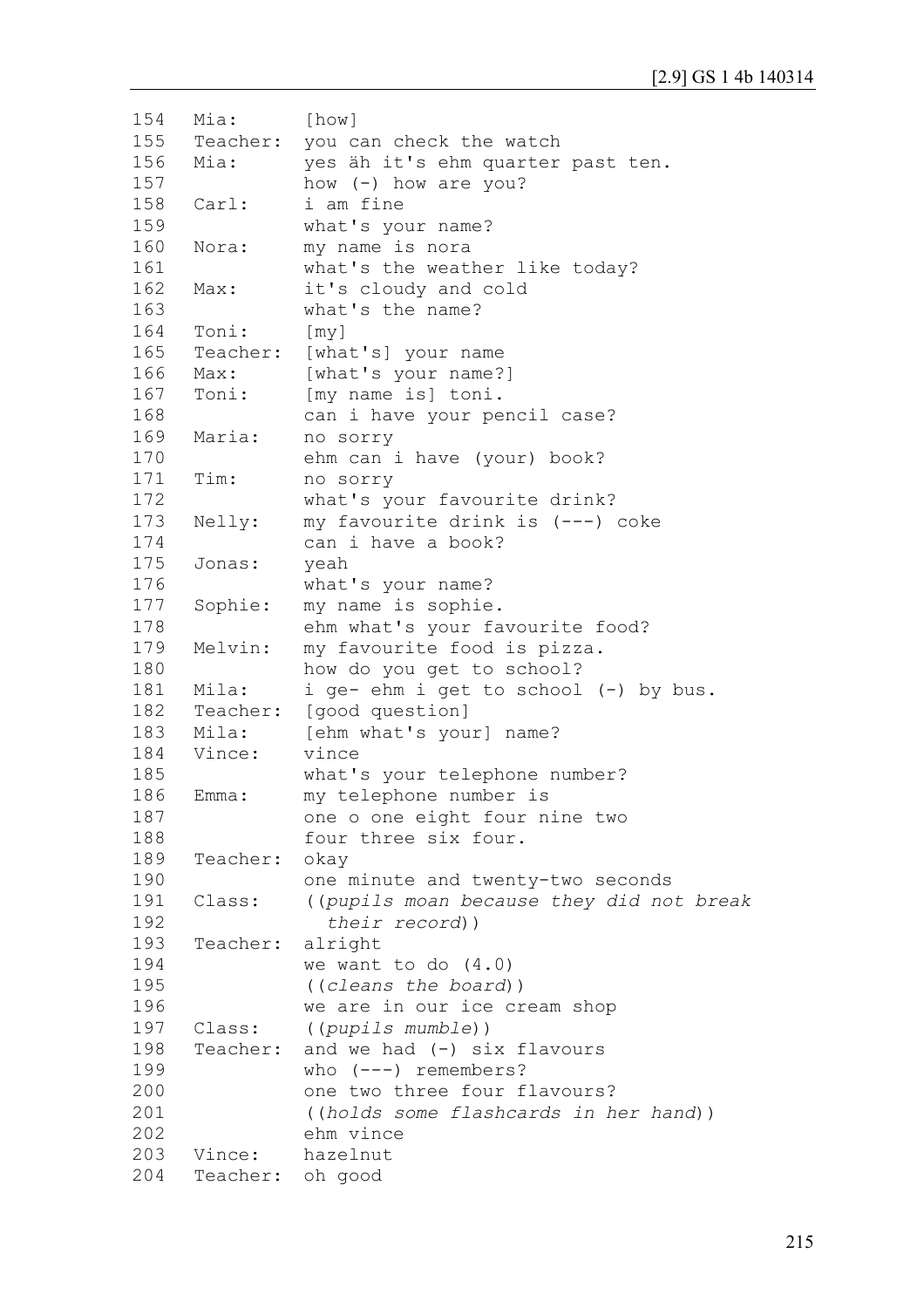```
154
155
156
157
158
159
160
161
162
163
164
165
166
167
168
169
170
171
172
173
174
175
176
177
178
179
180
181
182
183
184
185
186
187
188
189
190
191
192
193
194
195
196
197
198
199
200
201
202
203
204
     Mia: [how] 
     Teacher: you can check the watch
     Mia: yes äh it's ehm quarter past ten.
               how (-) how are you?
     Carl: i am fine 
               what's your name?
     Nora: my name is nora
               what's the weather like today?
     Max: it's cloudy and cold 
               what's the name?
     Toni: [my]
     Teacher: [what's] your name
     Max: [what's your name?]
     Toni: [my name is] toni.
               can i have your pencil case?
     Maria: no sorry 
               ehm can i have (your) book?
     Tim: no sorry 
               what's your favourite drink?
     Nelly: my favourite drink is (---) coke 
               can i have a book?
     Jonas: yeah
               what's your name? 
     Sophie: my name is sophie.
               ehm what's your favourite food?
     Melvin: my favourite food is pizza. 
               how do you get to school?
     Mila: i ge- ehm i get to school (-) by bus.
     Teacher: [good question]
     Mila: [ehm what's your] name?
     Vince: vince
               what's your telephone number?
     Emma: my telephone number is 
               one o one eight four nine two 
               four three six four.
     Teacher: okay 
               one minute and twenty-two seconds 
     Class: ((pupils moan because they did not break
                  their record))
     Teacher: alright 
               we want to do (4.0)
               ((cleans the board))
               we are in our ice cream shop
     Class: ((pupils mumble))
     Teacher: and we had (-) six flavours
               who (---) remembers?
               one two three four flavours? 
               ((holds some flashcards in her hand)) 
               ehm vince
     Vince: hazelnut
     Teacher: oh good
```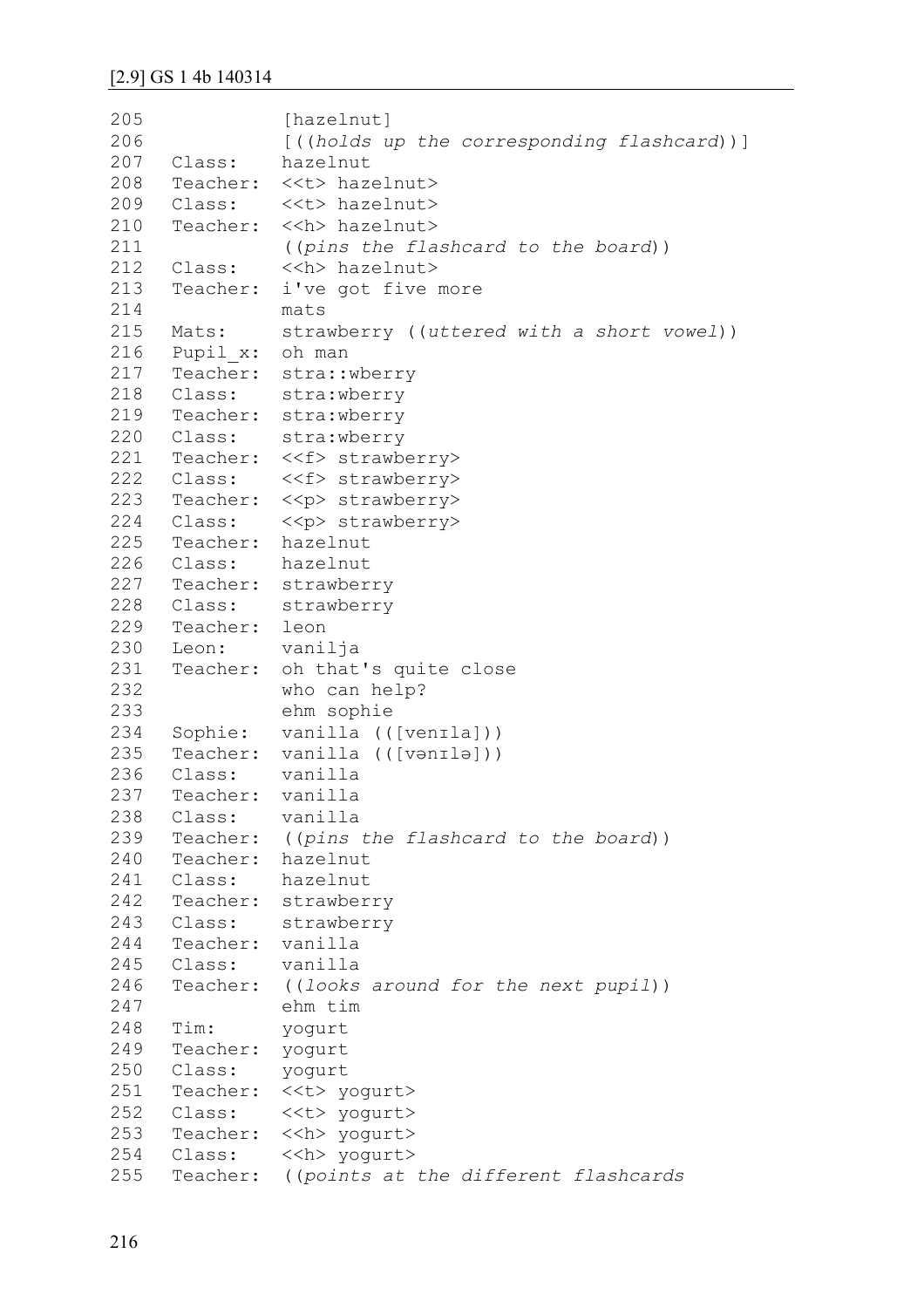```
205
206
207
208
209
210
211
212
213
214
215
216
217
218
219
220
221
222
223
224
225
226
227
228
229
230
231
232
233
234
235
236
237
238
239
240
241
242
243
244
245
246
247
248
249
250
251
252
253
254
255
               [hazelnut]
               [((holds up the corresponding flashcard))]
     Class: hazelnut
     Teacher: <<t> hazelnut>
     Class: <<t> hazelnut>
     Teacher: << h> hazelnut>
               ((pins the flashcard to the board))
     Class: << h> hazelnut>
     Teacher: i've got five more 
              mats
     Mats: strawberry ((uttered with a short vowel))
     Pupil_x: oh man
     Teacher: stra::wberry
     Class: stra:wberry
     Teacher: stra:wberry
     Class: stra:wberry
     Teacher: <<f> strawberry>
     Class: <<f> strawberry>
     Teacher: << p> strawberry>
     Class: <<p> strawberry>
     Teacher: hazelnut
     Class: hazelnut
     Teacher: strawberry
     Class: strawberry
     Teacher: leon
     Leon: vanilja
     Teacher: oh that's quite close 
               who can help? 
               ehm sophie
     Sophie: vanilla (([venɪla]))
     Teacher: vanilla (([vənɪlə]))
     Class: vanilla
     Teacher: vanilla
     Class: vanilla
     Teacher: ((pins the flashcard to the board))
     Teacher: hazelnut
     Class: hazelnut
     Teacher: strawberry
     Class: strawberry
     Teacher: vanilla
     Class: vanilla
     Teacher: ((looks around for the next pupil)) 
               ehm tim
     Tim: yogurt
     Teacher: yogurt
     Class: yogurt
     Teacher: <<t> yogurt>
     Class: <<t> yogurt>
     Teacher: << h> yogurt>
     Class: << h> yogurt>
     Teacher: ((points at the different flashcards
```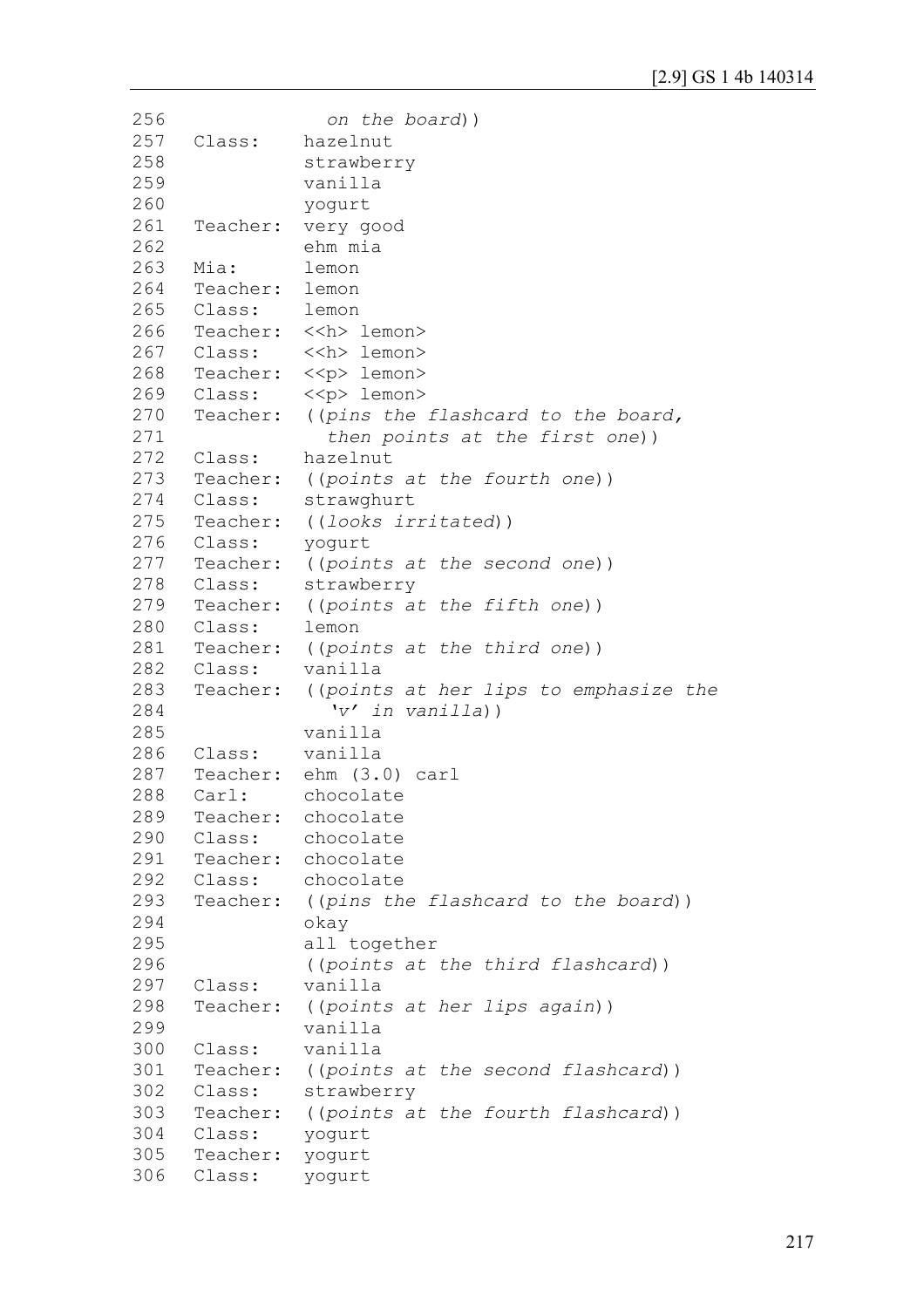```
256
257
258
259
260
261
262
263
264
265
266
267
268
269
270
271
272
273
274
275
276
277
278
279
280
281
282
283
284
285
286
287
288
289
290
291
292
293
294
295
296
297
298
299
300
301
302
303
304
305
306
                  on the board))
     Class: hazelnut
               strawberry 
               vanilla 
               yogurt
     Teacher: very good 
               ehm mia
     Mia: lemon
     Teacher: lemon
     Class: lemon
     Teacher: << h> lemon>
     Class: <<h> lemon>
     Teacher: << p> lemon>
     Class: \langle p \rangle lemon>
     Teacher: ((pins the flashcard to the board,
                  then points at the first one))
     Class: hazelnut 
     Teacher: ((points at the fourth one)) 
     Class: strawghurt 
     Teacher: ((looks irritated)) 
     Class: yogurt 
     Teacher: ((points at the second one)) 
     Class: strawberry
     Teacher: ((points at the fifth one)) 
     Class: lemon 
     Teacher: ((points at the third one)) 
     Class: vanilla
     Teacher: ((points at her lips to emphasize the 
                   'v' in vanilla)) 
               vanilla
     Class: vanilla
     Teacher: ehm (3.0) carl
     Carl: chocolate
     Teacher: chocolate
     Class: chocolate
     Teacher: chocolate
     Class: chocolate
     Teacher: ((pins the flashcard to the board))
               okay 
               all together 
               ((points at the third flashcard))
     Class: vanilla
     Teacher: ((points at her lips again))
               vanilla
     Class: vanilla
     Teacher: ((points at the second flashcard))
     Class: strawberry 
     Teacher: ((points at the fourth flashcard)) 
     Class: yogurt
     Teacher: yogurt
     Class: yogurt
```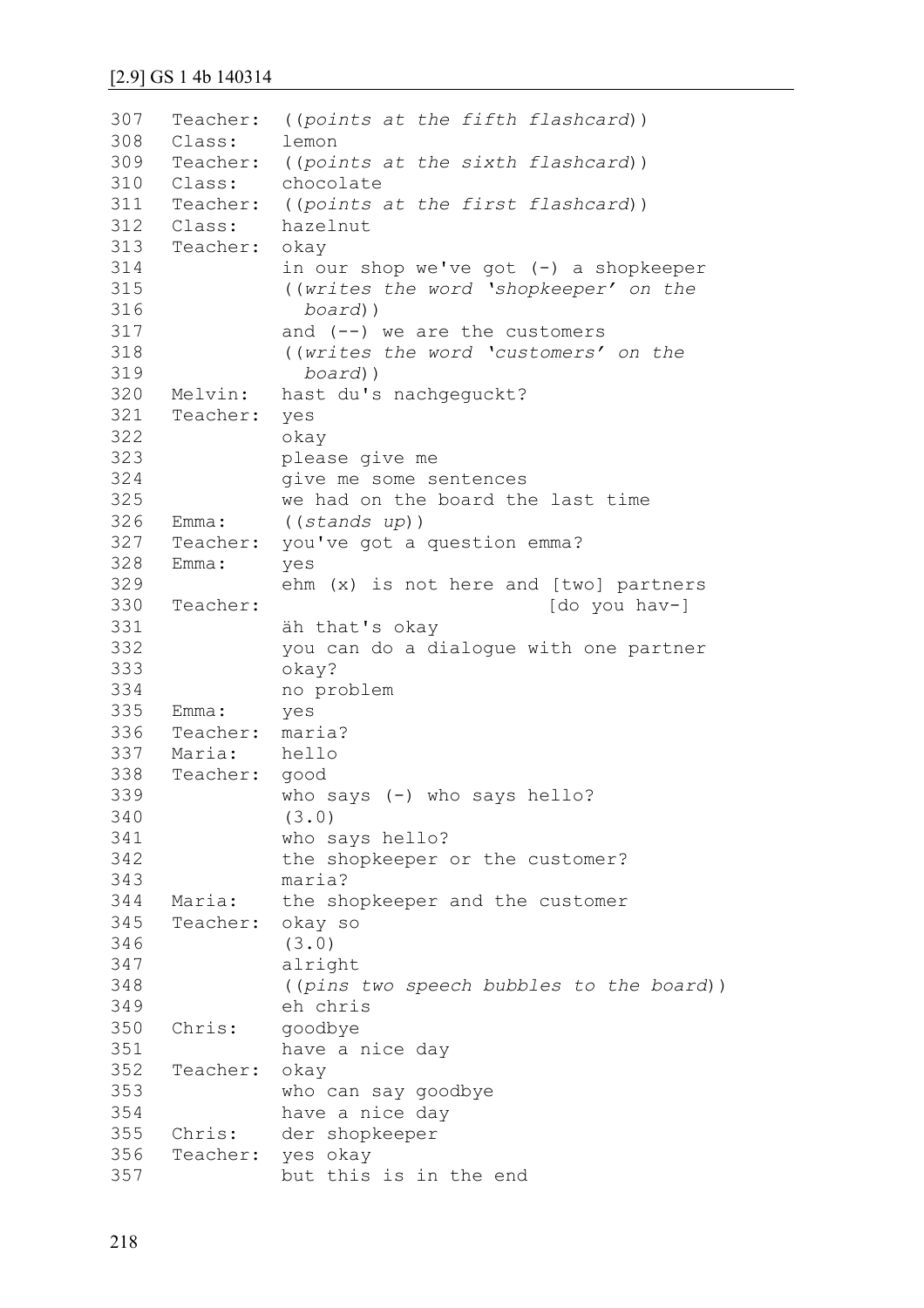# [2.9] GS 1 4b 140314

| 307<br>308 | Class:   | Teacher: ((points at the fifth flashcard))<br>lemon |
|------------|----------|-----------------------------------------------------|
| 309        | Teacher: | ((points at the sixth flashcard))                   |
| 310        | Class:   | chocolate                                           |
| 311        |          | Teacher: ((points at the first flashcard))          |
| 312        | Class:   | hazelnut                                            |
| 313        | Teacher: |                                                     |
| 314        |          | okay                                                |
|            |          | in our shop we've got (-) a shopkeeper              |
| 315        |          | ((writes the word 'shopkeeper' on the               |
| 316        |          | $board)$ )                                          |
| 317        |          | and $(--)$ we are the customers                     |
| 318        |          | ((writes the word 'customers' on the                |
| 319        |          | $board)$ )                                          |
| 320        | Melvin:  | hast du's nachgequckt?                              |
| 321        | Teacher: | yes                                                 |
| 322        |          | okay                                                |
| 323        |          | please give me                                      |
| 324        |          | give me some sentences                              |
| 325        |          | we had on the board the last time                   |
| 326        | Emma:    | ((stands up))                                       |
| 327        | Teacher: | you've got a question emma?                         |
| 328        | Emma:    | yes                                                 |
| 329        |          | ehm (x) is not here and [two] partners              |
| 330        | Teacher: | [do you hav-]                                       |
| 331        |          | äh that's okay                                      |
| 332        |          | you can do a dialogue with one partner              |
| 333        |          | okay?                                               |
| 334        |          | no problem                                          |
| 335        | Emma:    | yes                                                 |
| 336        | Teacher: | maria?                                              |
| 337        | Maria:   | hello                                               |
| 338        | Teacher: | good                                                |
| 339        |          | who says $(-)$ who says hello?                      |
| 340        |          | (3.0)                                               |
| 341        |          | who says hello?                                     |
| 342        |          | the shopkeeper or the customer?                     |
| 343        |          | maria?                                              |
| 344        | Maria:   | the shopkeeper and the customer                     |
| 345        | Teacher: | okay so                                             |
| 346        |          | (3.0)                                               |
| 347        |          | alright                                             |
| 348        |          | ((pins two speech bubbles to the board))            |
| 349        |          | eh chris                                            |
| 350        | Chris:   | goodbye                                             |
| 351        |          | have a nice day                                     |
| 352        | Teacher: |                                                     |
| 353        |          | okay<br>who can say goodbye                         |
| 354        |          |                                                     |
| 355        | Chris:   | have a nice day                                     |
| 356        | Teacher: | der shopkeeper                                      |
| 357        |          | yes okay                                            |
|            |          | but this is in the end                              |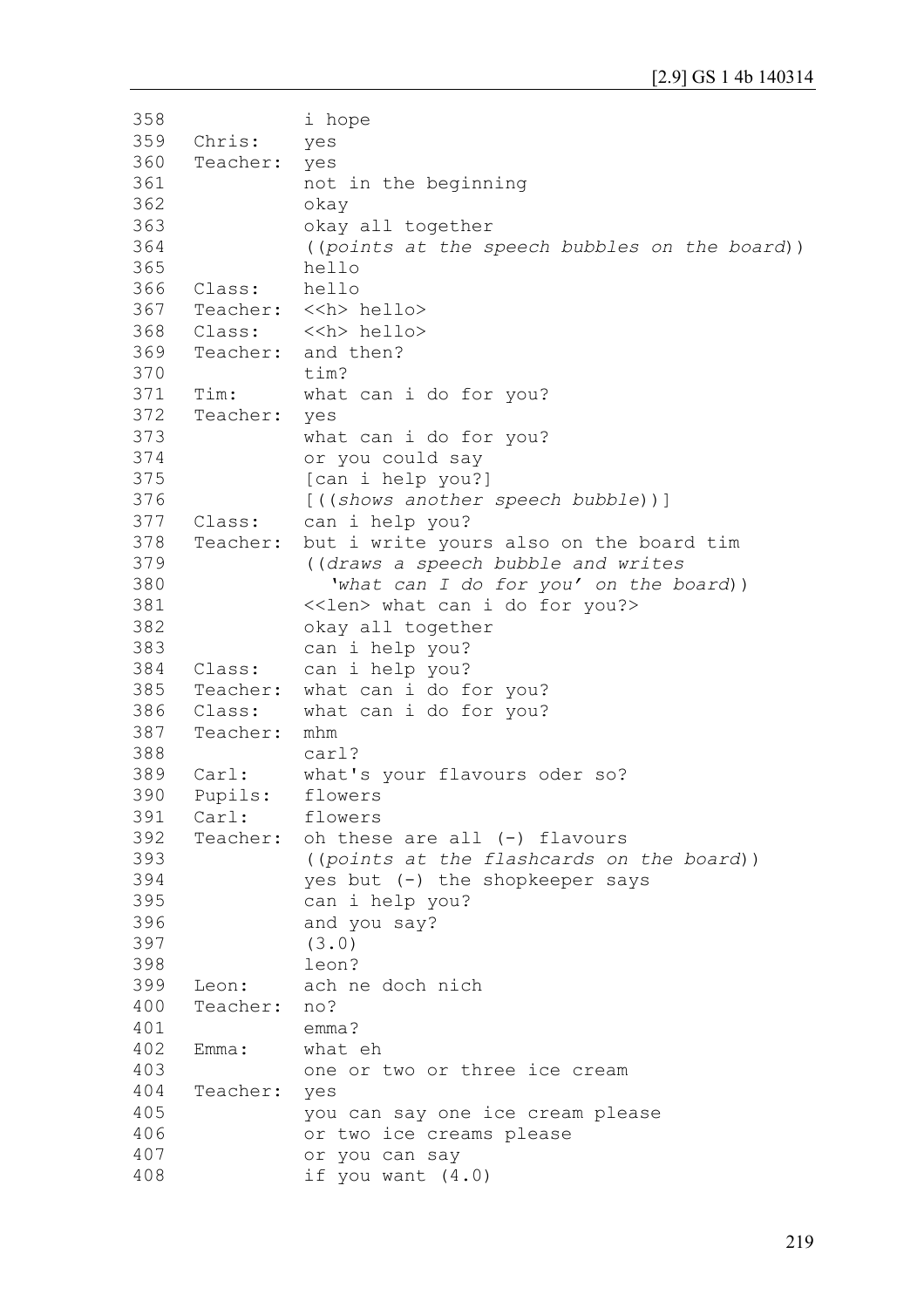```
358
359
360
361
362
363
364
365
366
367
368
369
370
371
372
373
374
375
376
377
378
379
380
381
382
383
384
385
386
387
388
389
390
391
392
393
394
395
396
397
398
399
400
401
402
403
404
405
406
407
408
               i hope
     Chris: yes 
     Teacher: yes 
               not in the beginning 
               okay
               okay all together 
               ((points at the speech bubbles on the board))
               hello
     Class: hello
     Teacher: <<h> hello>
     Class: <<h> hello> 
     Teacher: and then?
               tim?
     Tim: what can i do for you?
     Teacher: yes 
               what can i do for you? 
               or you could say 
                [can i help you?]
               [((shows another speech bubble))]
     Class: can i help you?
     Teacher: but i write yours also on the board tim 
               ((draws a speech bubble and writes
                  'what can I do for you' on the board))
               <<len> what can i do for you?>
               okay all together 
               can i help you?
     Class: can i help you?
     Teacher: what can i do for you?
     Class: what can i do for you?
     Teacher: mhm
               carl?
     Carl: what's your flavours oder so? 
     Pupils: flowers 
     Carl: flowers
     Teacher: oh these are all (-) flavours
               ((points at the flashcards on the board)) 
               yes but (-) the shopkeeper says 
               can i help you?
               and you say?
                (3.0) 
               leon?
     Leon: ach ne doch nich 
     Teacher: no?
               emma?
     Emma: what eh 
               one or two or three ice cream
     Teacher: yes
               you can say one ice cream please
               or two ice creams please
               or you can say
               if you want (4.0)
```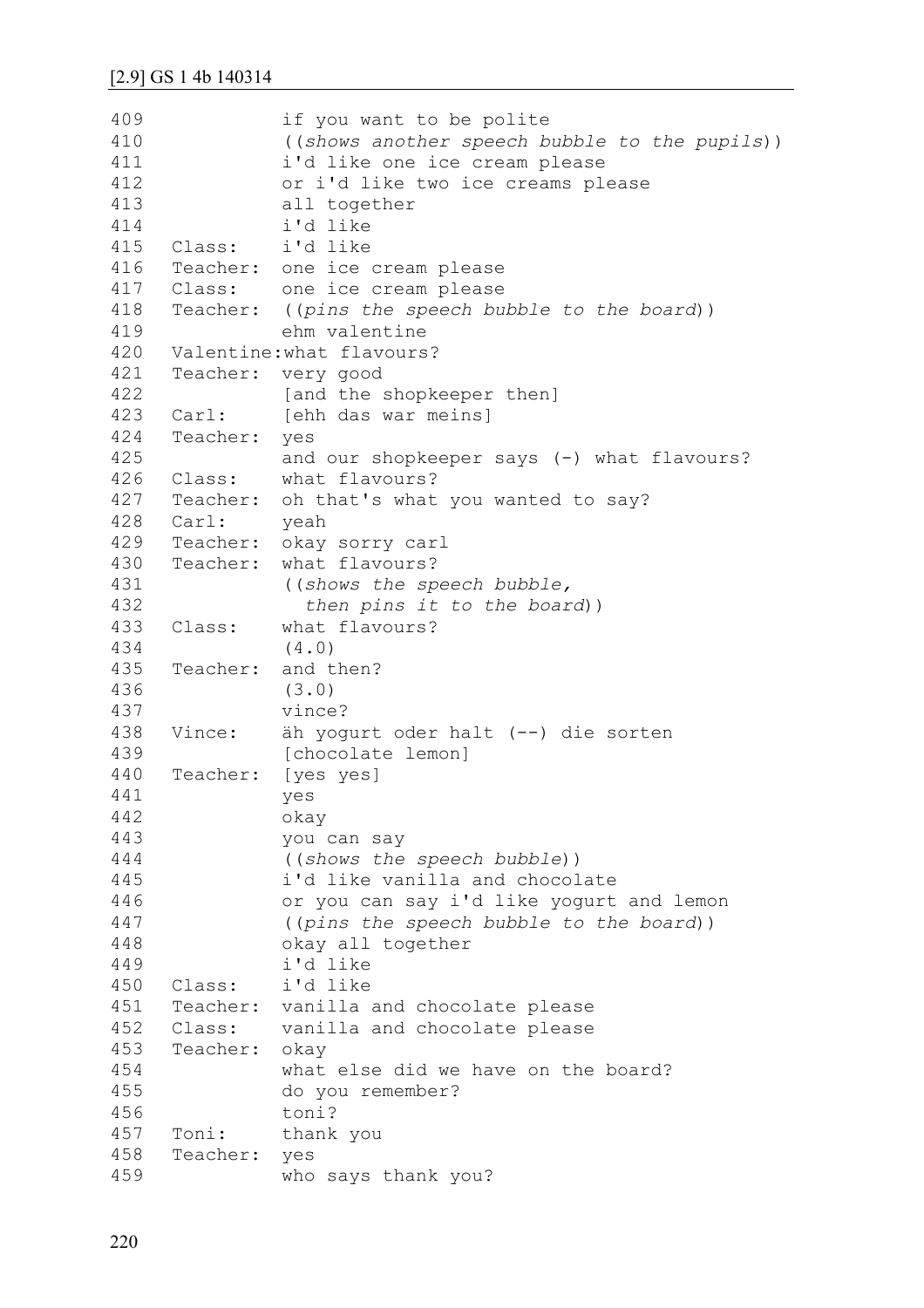```
409
410
411
412
413
414
415
416
417
418
419
420
421
422
423
424
425
426
427
428
429
430
431
432
433
434
435
436
437
438
439
440
441
442
443
444
445
446
447
448
449
450
451
452
453
454
455
456
457
458
459
               if you want to be polite
               ((shows another speech bubble to the pupils))
               i'd like one ice cream please 
               or i'd like two ice creams please
               all together
               i'd like
     Class: i'd like
     Teacher: one ice cream please
     Class: one ice cream please
     Teacher: ((pins the speech bubble to the board))
               ehm valentine
     Valentine:what flavours?
     Teacher: very good 
               [and the shopkeeper then]
     Carl: [ehh das war meins]
     Teacher: yes
               and our shopkeeper says (-) what flavours? 
     Class: what flavours?
     Teacher: oh that's what you wanted to say?
     Carl: yeah
     Teacher: okay sorry carl
     Teacher: what flavours? 
               ((shows the speech bubble,
                   then pins it to the board))
     Class: what flavours?
               (4.0)
     Teacher: and then?
               (3.0)
               vince?
     Vince: äh yogurt oder halt (--) die sorten
               [chocolate lemon]
     Teacher: [yes yes]
               yes
               okay
               you can say 
               ((shows the speech bubble)) 
               i'd like vanilla and chocolate
               or you can say i'd like yogurt and lemon
               ((pins the speech bubble to the board)) 
               okay all together 
               i'd like
     Class: i'd like
     Teacher: vanilla and chocolate please
     Class: vanilla and chocolate please
     Teacher: okay 
               what else did we have on the board? 
               do you remember? 
               toni?
     Toni: thank you
     Teacher: yes 
               who says thank you?
```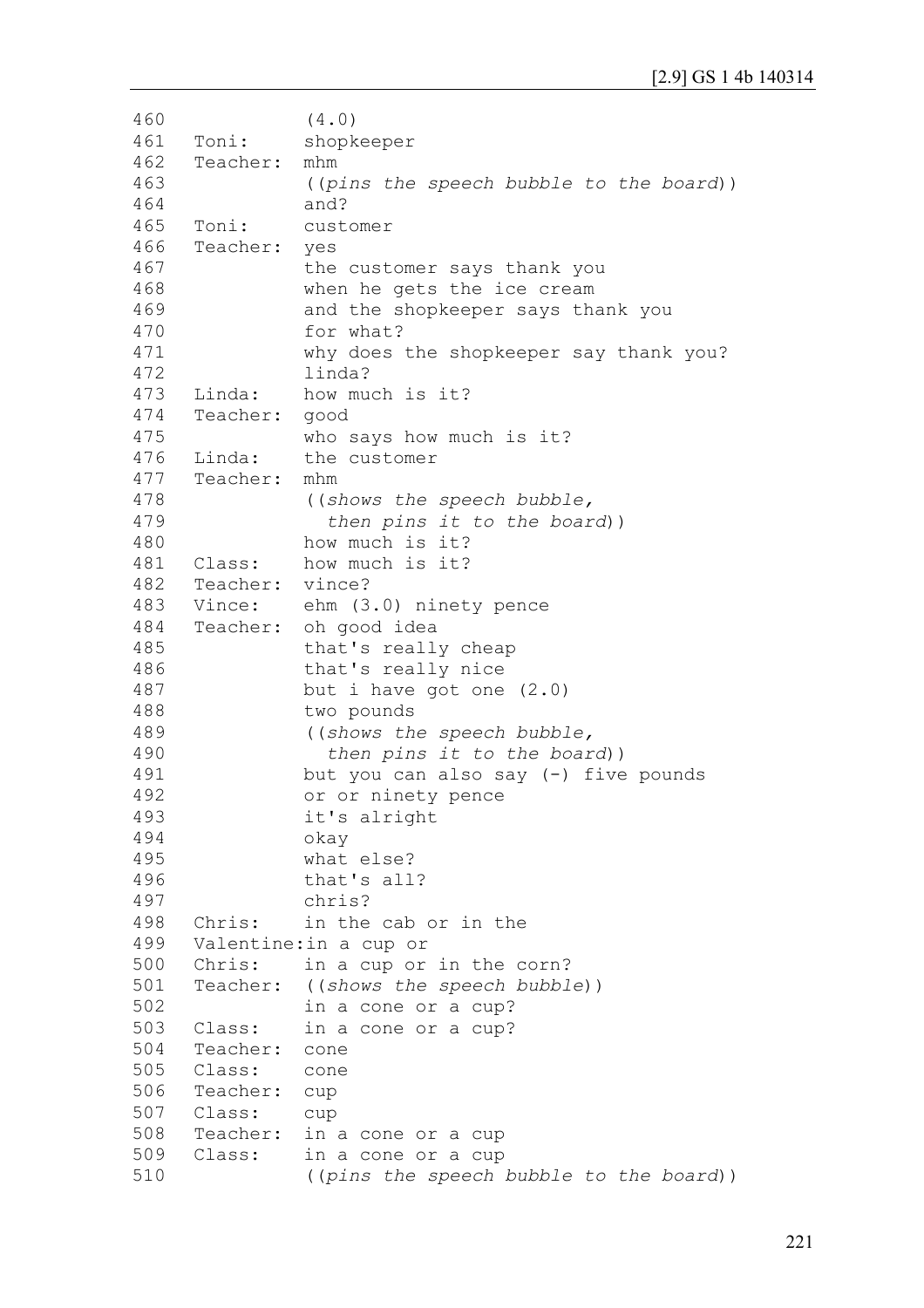```
460
461
462
463
464
465
466
467
468
469
470
471
472
473
474
475
476
477
478
479
480
481
482
483
484
485
486
487
488
489
490
491
492
493
494
495
496
497
498
499
500
501
502
503
504
505
506
507
508
509
510
                (4.0)
     Toni: shopkeeper
     Teacher: mhm 
                ((pins the speech bubble to the board))
               and?
     Toni: customer 
     Teacher: yes 
               the customer says thank you 
               when he gets the ice cream
               and the shopkeeper says thank you 
                for what? 
               why does the shopkeeper say thank you? 
                linda?
     Linda: how much is it?
     Teacher: good 
               who says how much is it?
     Linda: the customer
     Teacher: mhm 
                ((shows the speech bubble,
                   then pins it to the board))
               how much is it?
     Class: how much is it?
     Teacher: vince?
     Vince: ehm (3.0) ninety pence
     Teacher: oh good idea 
               that's really cheap 
               that's really nice 
               but i have got one (2.0)
               two pounds 
                ((shows the speech bubble,
                   then pins it to the board))
               but you can also say (-) five pounds 
               or or ninety pence 
               it's alright
               okay 
               what else? 
                that's all?
               chris?
     Chris: in the cab or in the 
     Valentine:in a cup or 
     Chris: in a cup or in the corn?
     Teacher: ((shows the speech bubble)) 
               in a cone or a cup?
     Class: in a cone or a cup?
     Teacher: cone
     Class: cone
     Teacher: cup
     Class: cup
     Teacher: in a cone or a cup
     Class: in a cone or a cup
                ((pins the speech bubble to the board))
```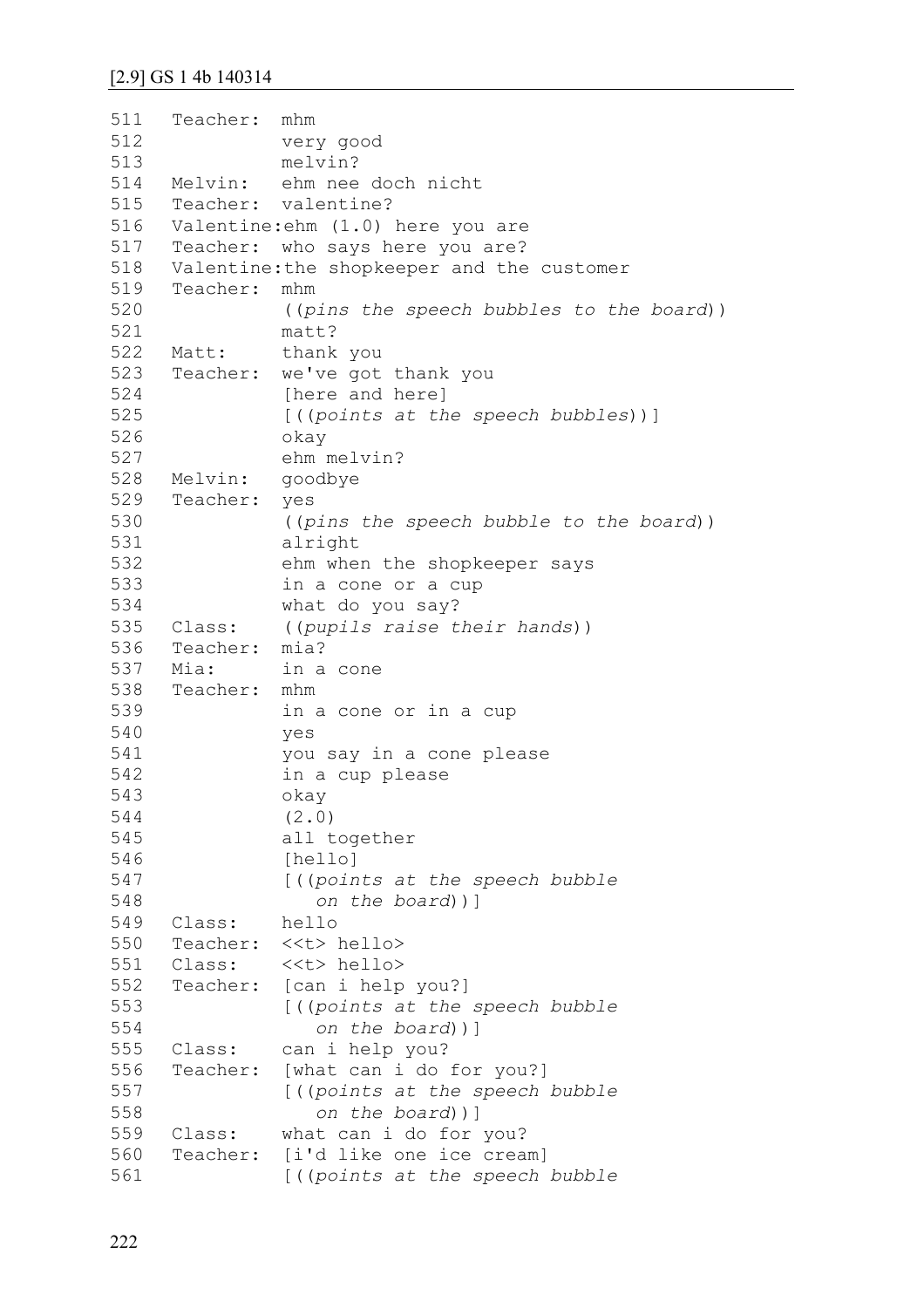```
511
512
513
514
515
516
517
518
519
520
521
522
523
524
525
526
527
528
529
530
531
532
533
534
535
536
537
538
539
540
541
542
543
544
545
546
547
548
549
550
551
552
553
554
555
556
557
558
559
560
561
     Teacher: mhm 
               very good 
               melvin?
     Melvin: ehm nee doch nicht
     Teacher: valentine?
     Valentine:ehm (1.0) here you are
     Teacher: who says here you are?
     Valentine:the shopkeeper and the customer
     Teacher: mhm
                ((pins the speech bubbles to the board))
               matt?
     Matt: thank you
     Teacher: we've got thank you 
               [here and here] 
               [((points at the speech bubbles))]
               okay
               ehm melvin?
     Melvin: goodbye
     Teacher: yes
                ((pins the speech bubble to the board)) 
               alright 
               ehm when the shopkeeper says 
               in a cone or a cup 
               what do you say?
     Class: ((pupils raise their hands)) 
     Teacher: mia?
     Mia: in a cone
     Teacher: mhm 
               in a cone or in a cup
               yes 
               you say in a cone please
               in a cup please 
               okay 
                (2.0)
               all together 
               [hello]
                [((points at the speech bubble
                    on the board))]
     Class: hello
     Teacher: <<t> hello>
     Class: <<t> hello>
     Teacher: [can i help you?]
                [((points at the speech bubble
                    on the board))]
     Class: can i help you?
     Teacher: [what can i do for you?]
                [((points at the speech bubble
                    on the board))]
     Class: what can i do for you?
     Teacher: [i'd like one ice cream]
                [((points at the speech bubble
```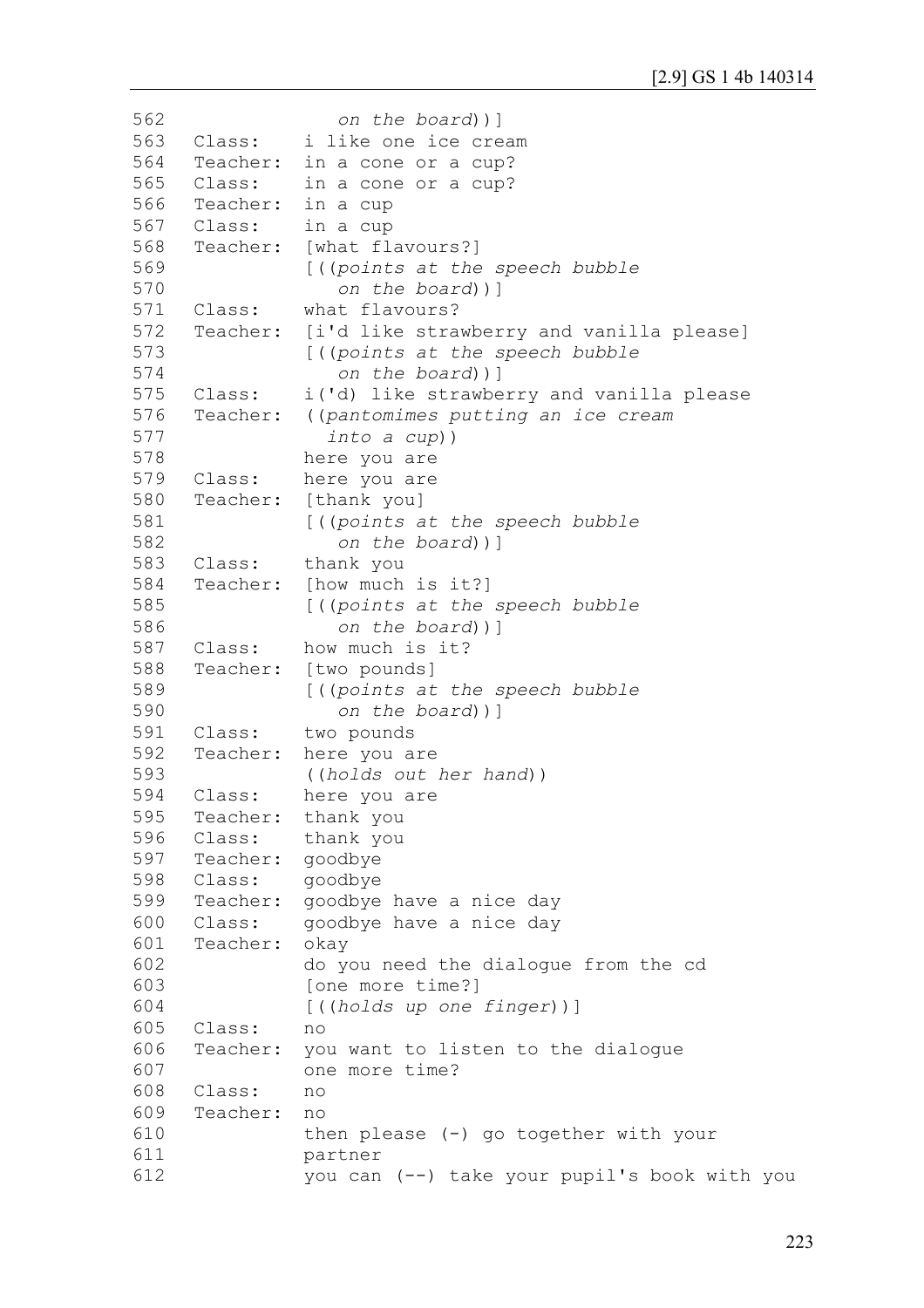```
562
563
564
565
566
567
568
569
570
571
572
573
574
575
576
577
578
579
580
581
582
583
584
585
586
587
588
589
590
591
592
593
594
595
596
597
598
599
600
601
602
603
604
605
606
607
608
609
610
611
612
                   on the board))]
     Class: i like one ice cream
     Teacher: in a cone or a cup?
     Class: in a cone or a cup?
     Teacher: in a cup
     Class: in a cup
     Teacher: [what flavours?]
               [((points at the speech bubble
                   on the board))]
     Class: what flavours?
     Teacher: [i'd like strawberry and vanilla please]
               [((points at the speech bubble
                   on the board))]
     Class: i('d) like strawberry and vanilla please
     Teacher: ((pantomimes putting an ice cream 
                  into a cup))
               here you are
     Class: here you are
     Teacher: [thank you]
               [((points at the speech bubble
                   on the board))]
     Class: thank you
     Teacher: [how much is it?]
               [((points at the speech bubble
                   on the board))]
     Class: how much is it?
     Teacher: [two pounds]
               [((points at the speech bubble
                   on the board))]
     Class: two pounds
     Teacher: here you are 
                ((holds out her hand))
     Class: here you are
     Teacher: thank you
     Class: thank you
     Teacher: goodbye
     Class: goodbye
     Teacher: goodbye have a nice day
     Class: goodbye have a nice day
     Teacher: okay 
               do you need the dialogue from the cd 
               [one more time?] 
               [((holds up one finger))] 
     Class: no
     Teacher: you want to listen to the dialogue 
               one more time?
     Class: no
     Teacher: no 
               then please (-) go together with your 
               partner 
               you can (--) take your pupil's book with you
```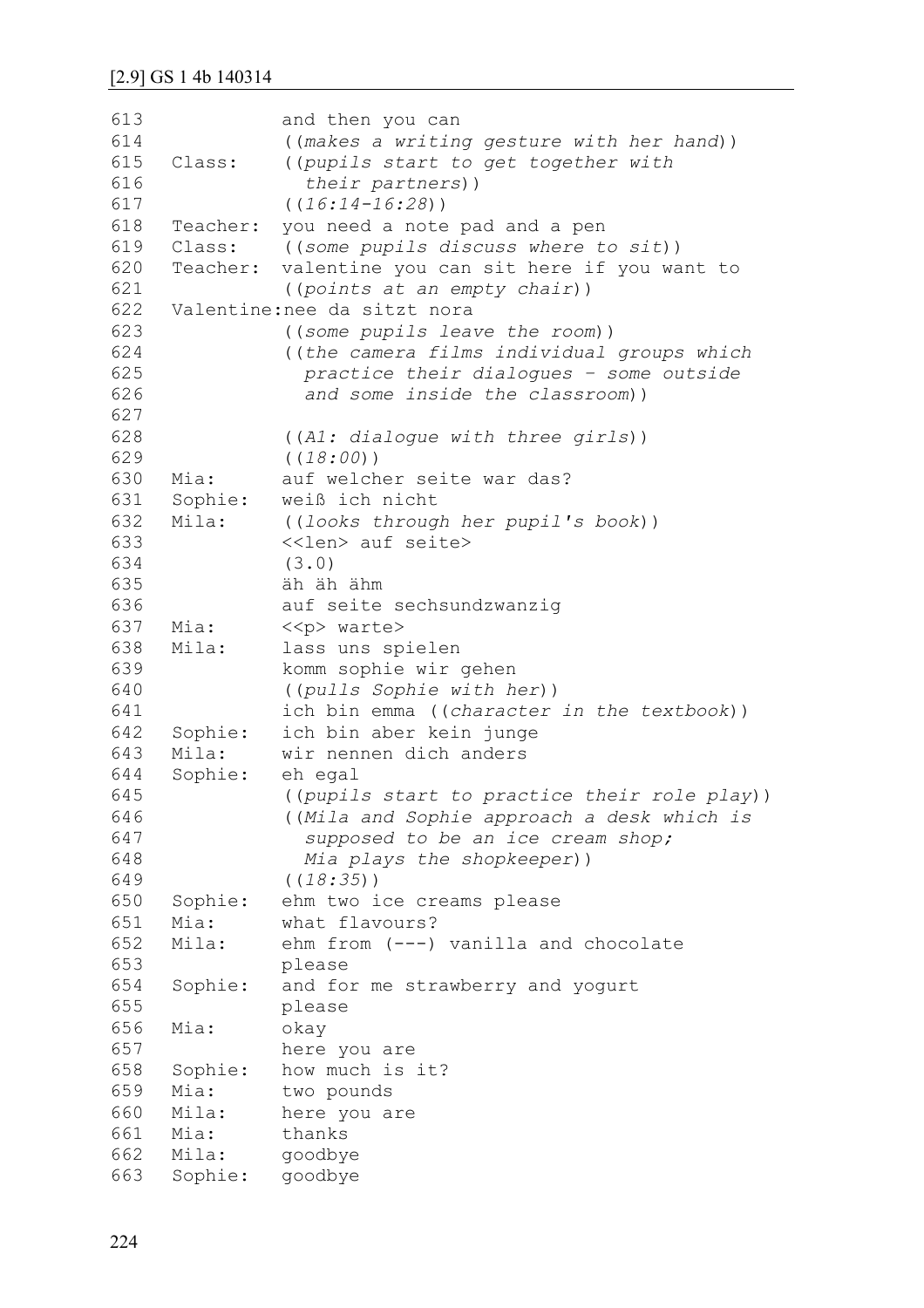| 613 |                 | and then you can                             |
|-----|-----------------|----------------------------------------------|
| 614 |                 | ((makes a writing gesture with her hand))    |
| 615 | Class:          | ((pupils start to get together with          |
| 616 |                 | their partners))                             |
| 617 |                 | $((16:14-16:28))$                            |
| 618 | Teacher:        | you need a note pad and a pen                |
| 619 | Class:          | ((some pupils discuss where to sit))         |
| 620 | Teacher:        | valentine you can sit here if you want to    |
| 621 |                 | ((points at an empty chair))                 |
| 622 |                 | Valentine: nee da sitzt nora                 |
| 623 |                 | ((some pupils leave the room))               |
| 624 |                 | ((the camera films individual groups which   |
| 625 |                 | practice their dialogues - some outside      |
| 626 |                 | and some inside the classroom))              |
| 627 |                 |                                              |
| 628 |                 | ((Al: dialogue with three girls))            |
| 629 |                 | ( (18:00) )                                  |
| 630 | Mia:            | auf welcher seite war das?                   |
| 631 | Sophie:         | weiß ich nicht                               |
| 632 | Mila:           | ((looks through her pupil's book))           |
| 633 |                 | < <len> auf seite&gt;</len>                  |
| 634 |                 | (3.0)                                        |
| 635 |                 | äh äh ähm                                    |
| 636 |                 | auf seite sechsundzwanzig                    |
| 637 | Mia:            | < <p> warte&gt;</p>                          |
| 638 | Mila:           | lass uns spielen                             |
| 639 |                 | komm sophie wir gehen                        |
| 640 |                 | ((pulls Sophie with her))                    |
| 641 |                 | ich bin emma ((character in the textbook))   |
| 642 | Sophie:         | ich bin aber kein junge                      |
| 643 | Mila:           | wir nennen dich anders                       |
| 644 | Sophie:         | eh egal                                      |
| 645 |                 | ((pupils start to practice their role play)) |
| 646 |                 | ((Mila and Sophie approach a desk which is   |
| 647 |                 | supposed to be an ice cream shop;            |
| 648 |                 | Mia plays the shopkeeper))                   |
| 649 |                 | ( (18:35) )                                  |
| 650 | Sophie:         | ehm two ice creams please                    |
| 651 | Mia:            | what flavours?                               |
| 652 | Mila:           | ehm from (---) vanilla and chocolate         |
| 653 |                 | please                                       |
| 654 | Sophie:         | and for me strawberry and yogurt             |
| 655 |                 | please                                       |
| 656 | Mia:            | okay                                         |
| 657 |                 | here you are                                 |
| 658 | Sophie:         | how much is it?                              |
| 659 | Mia:            | two pounds                                   |
| 660 | Mila:           | here you are                                 |
| 661 | Mia:            | thanks                                       |
| 662 | Mila:           | goodbye                                      |
| 663 | Sophie: goodbye |                                              |
|     |                 |                                              |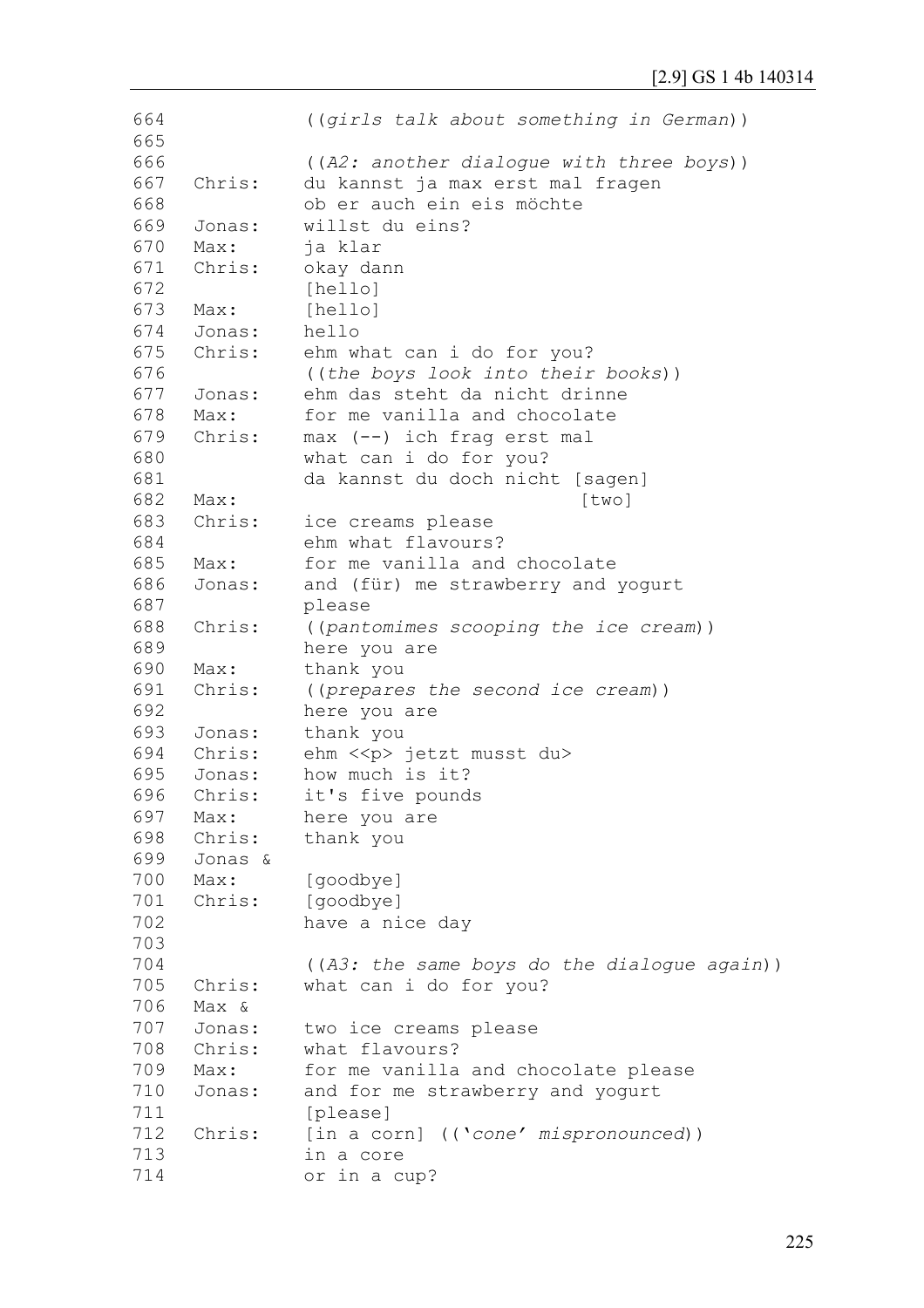```
664
665
666
667
668
669
670
671
672
673
674
675
676
677
678
679
680
681
682
683
684
685
686
687
688
689
690
691
692
693
694 Chris:
695
696
697
698
699
700
701
702
703
704
705
706
Max &
707
708
709
710
711
712
713
714
              ((girls talk about something in German))
              ((A2: another dialogue with three boys))
     Chris: du kannst ja max erst mal fragen 
              ob er auch ein eis möchte
     Jonas: willst du eins?
    Max: ja klar
     Chris: okay dann 
              [hello]
     Max: [hello]
     Jonas: hello
     Chris: ehm what can i do for you? 
              ((the boys look into their books)) 
     Jonas: ehm das steht da nicht drinne
   Max: for me vanilla and chocolate
     Chris: max (--) ich frag erst mal 
              what can i do for you? 
              da kannst du doch nicht [sagen]
     Max: [two]
   Chris: ice creams please
              ehm what flavours?
    Max: for me vanilla and chocolate
     Jonas: and (für) me strawberry and yogurt
              please
     Chris: ((pantomimes scooping the ice cream)) 
              here you are
    Max: thank you
     Chris: ((prepares the second ice cream)) 
              here you are
    Jonas: thank you
             ehm <<p> jetzt musst du>
     Jonas: how much is it?
    Chris: it's five pounds
   Max: here you are
     Chris: thank you
     Jonas &
     Max: [goodbye]
    Chris: [goodbye] 
              have a nice day
              ((A3: the same boys do the dialogue again))
     Chris: what can i do for you?
     Jonas: two ice creams please
     Chris: what flavours?
     Max: for me vanilla and chocolate please
     Jonas: and for me strawberry and yogurt
              [please]
   Chris: [in a corn] (('cone' mispronounced)) 
              in a core
              or in a cup?
```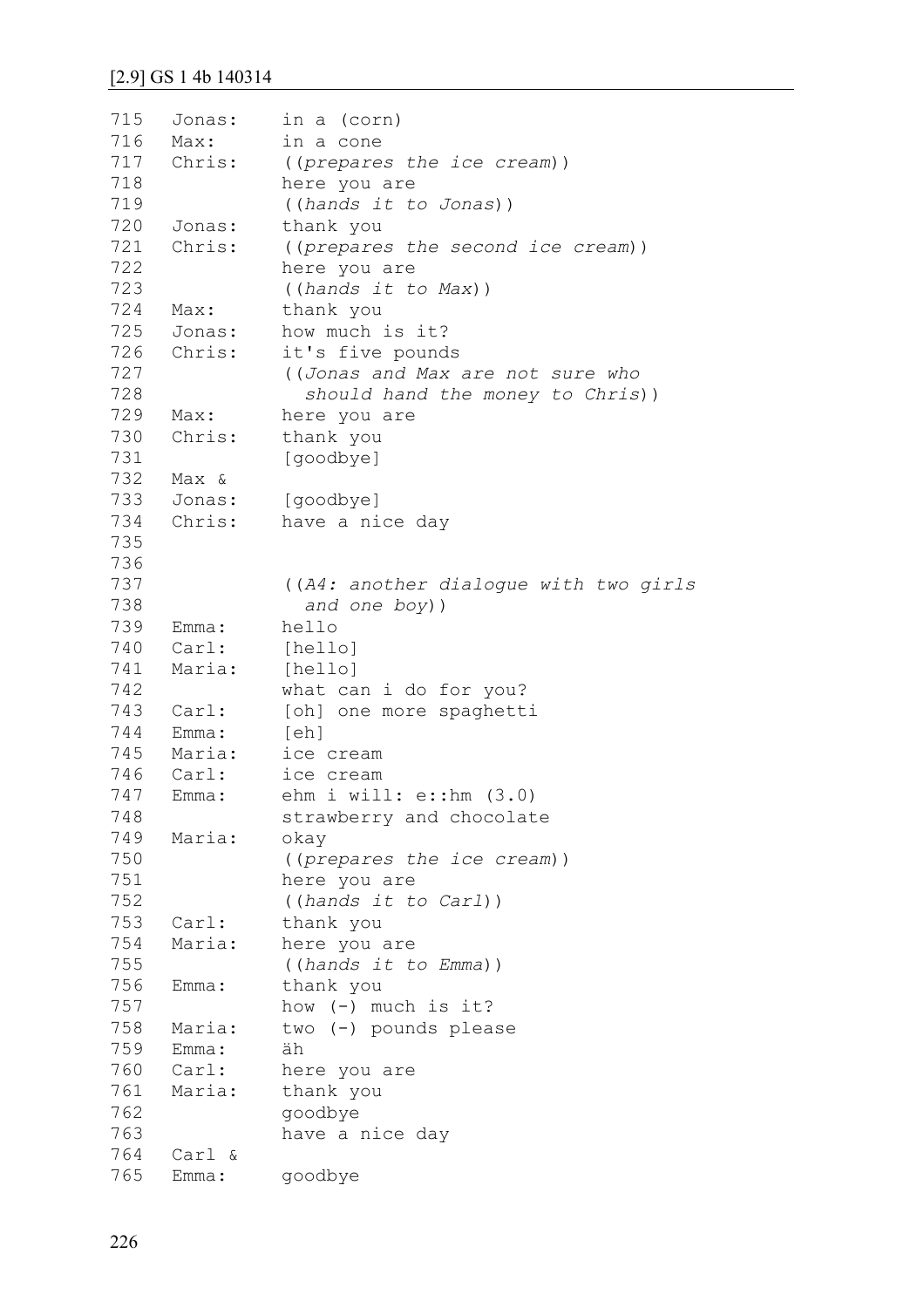```
715
716
717
718
719
720
721
722
723
724
725
726
727
728
729
730
731
732
733
734
735
736
737
738
739
740
741
742
743
744
745
746
747
748
749
750
751
752
753
754
755
756
757
758
759
760
761
762
763
764
765
     Jonas: in a (corn)
     Max: in a cone 
     Chris: ((prepares the ice cream)) 
              here you are 
              ((hands it to Jonas))
     Jonas: thank you
     Chris: ((prepares the second ice cream)) 
              here you are 
               ((hands it to Max))
     Max: thank you
     Jonas: how much is it?
     Chris: it's five pounds 
               ((Jonas and Max are not sure who 
                  should hand the money to Chris))
     Max: here you are
     Chris: thank you
              [goodbye]
     Max &
     Jonas: [goodbye]
     Chris: have a nice day
               ((A4: another dialogue with two girls 
                  and one boy))
     Emma: hello
     Carl: [hello]
     Maria: [hello] 
              what can i do for you?
     Carl: [oh] one more spaghetti
     Emma: [eh] 
    Maria: ice cream
     Carl: ice cream
     Emma: ehm i will: e::hm (3.0)
              strawberry and chocolate
     Maria: okay 
               ((prepares the ice cream)) 
              here you are 
               ((hands it to Carl))
     Carl: thank you
     Maria: here you are 
               ((hands it to Emma))
     Emma: thank you 
              how (-) much is it?
     Maria: two (-) pounds please
     Emma: äh
     Carl: here you are 
     Maria: thank you 
               goodbye 
              have a nice day
    Carl &
     Emma: goodbye
```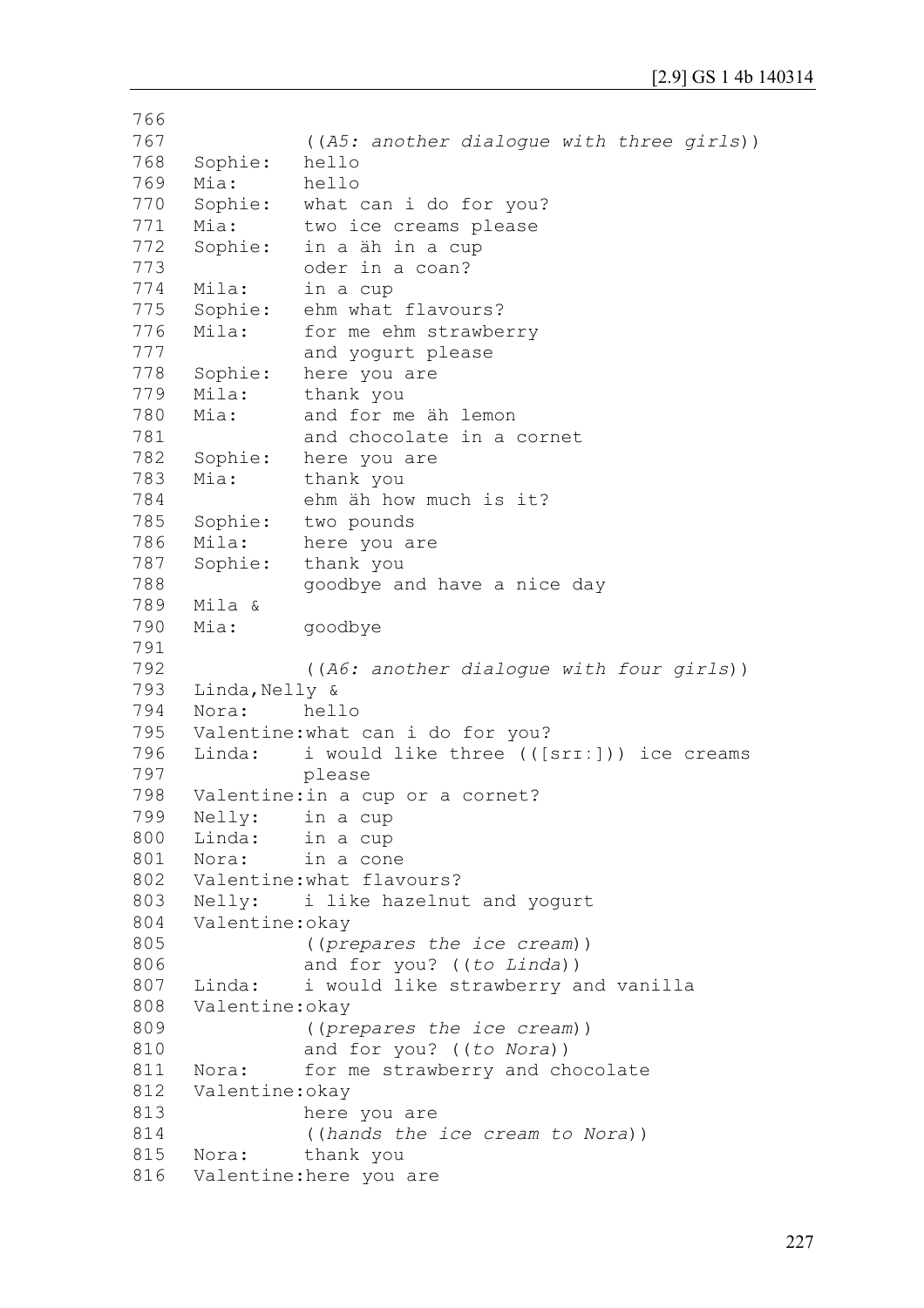```
766
767
768
769
770
771
772
773
774
775
776
777
778
779
780
781
782
783
784
785
786
787
788
789
790
791
792
793
794
795
796
797
798
799
800
801
802
803
804
805
806
807
808
809
810
811
812
813
814
815
816
               ((A5: another dialogue with three girls))
     Sophie: hello
     Mia: hello
     Sophie: what can i do for you?
     Mia: two ice creams please
     Sophie: in a äh in a cup 
               oder in a coan?
     Mila: in a cup
     Sophie: ehm what flavours?
     Mila: for me ehm strawberry 
               and yogurt please
     Sophie: here you are
     Mila: thank you
    Mia: and for me äh lemon 
               and chocolate in a cornet
     Sophie: here you are
     Mia: thank you 
               ehm äh how much is it?
     Sophie: two pounds
     Mila: here you are 
     Sophie: thank you 
               goodbye and have a nice day
     Mila &
     Mia: goodbye
               ((A6: another dialogue with four girls))
     Linda, Nelly &
    Nora: hello 
     Valentine:what can i do for you?
     Linda: i would like three (([srɪː])) ice creams 
               please
     Valentine:in a cup or a cornet?
     Nelly: in a cup
     Linda: in a cup
     Nora: in a cone
     Valentine:what flavours?
     Nelly: i like hazelnut and yogurt
     Valentine:okay
               ((prepares the ice cream)) 
               and for you? ((to Linda))
     Linda: i would like strawberry and vanilla
     Valentine:okay 
               ((prepares the ice cream)) 
               and for you? ((to Nora))
     Nora: for me strawberry and chocolate
     Valentine:okay 
               here you are 
               ((hands the ice cream to Nora))
     Nora: thank you
     Valentine:here you are
```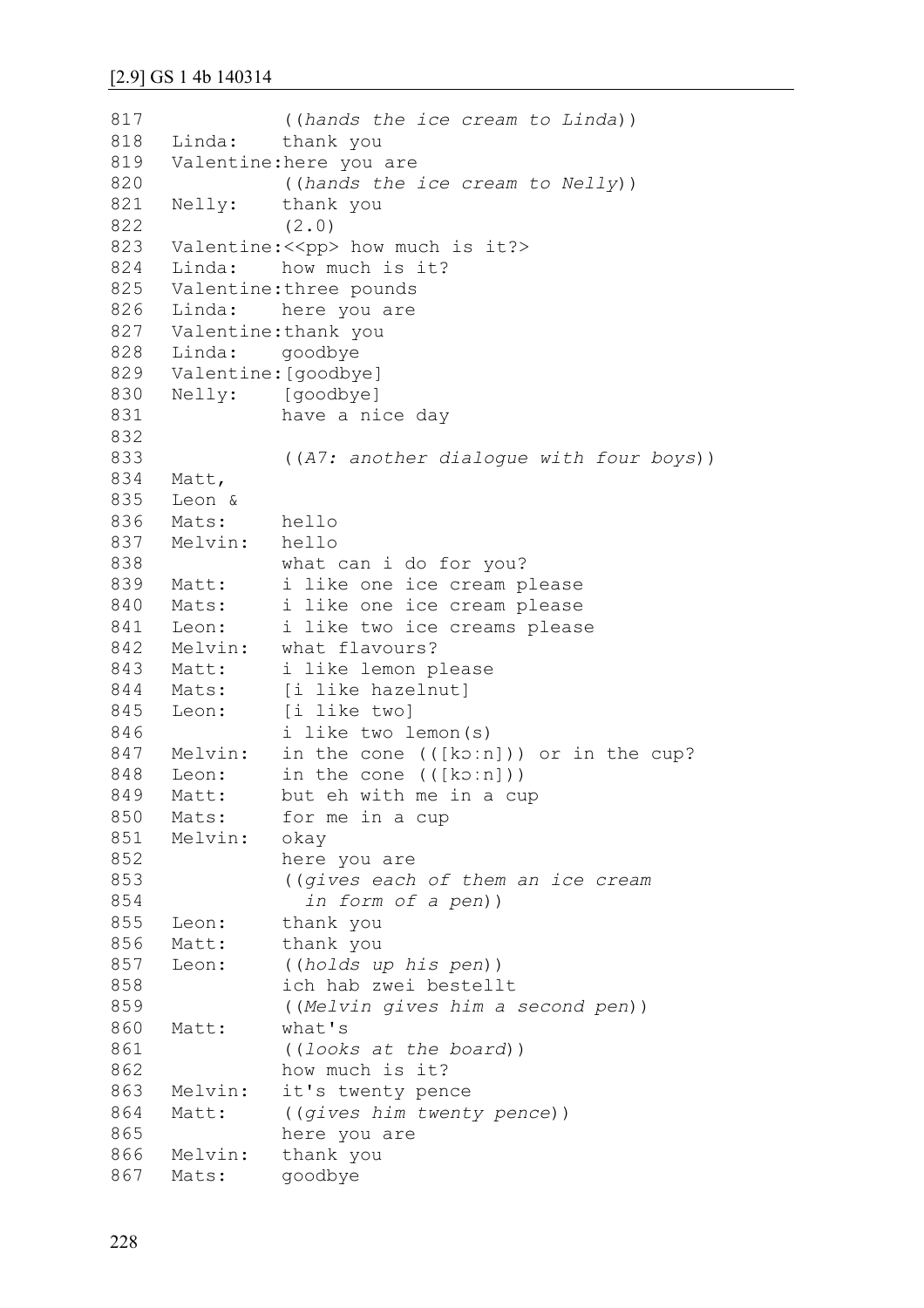```
817
818
819
820
821
822
823
824
825
826
827
828
829
830
831
832
833
834
835
836
837
838
839
840
841
842
843
844
845
846
847
848
849
850
851
852
853
854
855
856
857
858
859
860
861
862
863
864
865
866
867
               ((hands the ice cream to Linda))
     Linda: thank you 
     Valentine:here you are 
               ((hands the ice cream to Nelly))
     Nelly: thank you
               (2.0) 
     Valentine: << pp> how much is it?>
     Linda: how much is it?
     Valentine:three pounds
     Linda: here you are
     Valentine:thank you
     Linda: goodbye
     Valentine:[goodbye]
     Nelly: [goodbye] 
              have a nice day
               ((A7: another dialogue with four boys))
     Matt,
     Leon &
     Mats: hello
     Melvin: hello 
              what can i do for you?
     Matt: i like one ice cream please
     Mats: i like one ice cream please
     Leon: i like two ice creams please
     Melvin: what flavours?
     Matt: i like lemon please
     Mats: [i like hazelnut]
     Leon: [i like two]
               i like two lemon(s) 
    Melvin: in the cone (([ko:n])) or in the cup?
     Leon: in the cone (([kɔːn]))
     Matt: but eh with me in a cup
     Mats: for me in a cup
     Melvin: okay 
              here you are 
               ((gives each of them an ice cream
                  in form of a pen))
     Leon: thank you
     Matt: thank you 
     Leon: ((holds up his pen)) 
               ich hab zwei bestellt
               ((Melvin gives him a second pen))
     Matt: what's
               ((looks at the board))
              how much is it?
     Melvin: it's twenty pence
     Matt: ((gives him twenty pence))
              here you are
    Melvin: thank you
     Mats: goodbye
```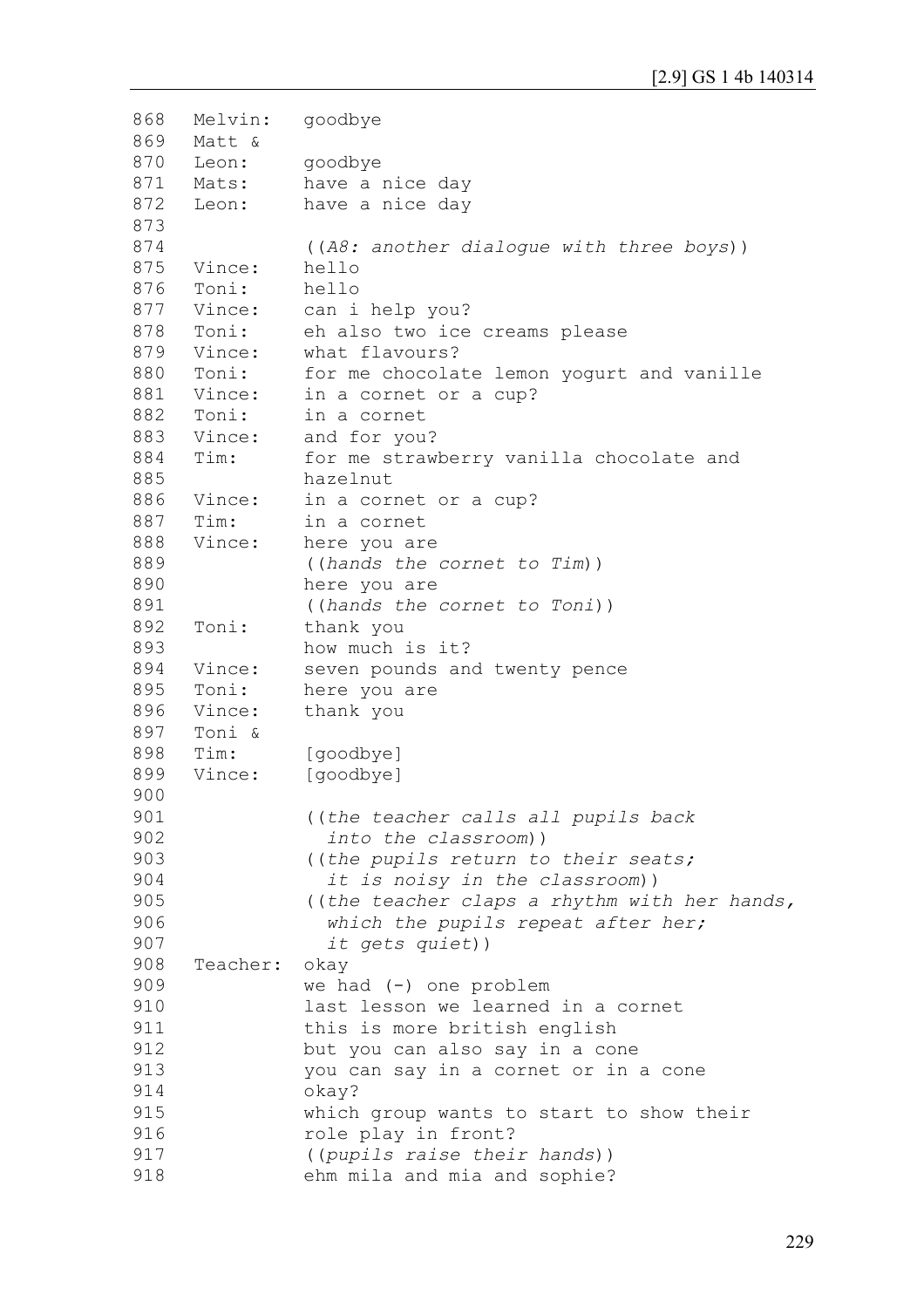```
868
869
870
871
872
873
874
875
876
877
878
879
880
881
882
883
884
885
886
887
888
889
890
891
892
893
894
895
896
897
898
899
900
901
902
903
904
905
906
907
908
909
910
911
912
913
914
915
916
917
918
     Melvin: goodbye
    Matt &
     Leon: goodbye
     Mats: have a nice day
     Leon: have a nice day
               ((A8: another dialogue with three boys))
     Vince: hello
     Toni: hello
     Vince: can i help you?
     Toni: eh also two ice creams please
     Vince: what flavours?
     Toni: for me chocolate lemon yogurt and vanille
     Vince: in a cornet or a cup?
     Toni: in a cornet
     Vince: and for you?
     Tim: for me strawberry vanilla chocolate and 
               hazelnut
     Vince: in a cornet or a cup?
     Tim: in a cornet
     Vince: here you are 
               ((hands the cornet to Tim)) 
               here you are 
               ((hands the cornet to Toni))
     Toni: thank you 
               how much is it?
     Vince: seven pounds and twenty pence
     Toni: here you are
     Vince: thank you
     Toni &
     Tim: [goodbye]
     Vince: [goodbye]
               ((the teacher calls all pupils back 
                  into the classroom))
               ((the pupils return to their seats; 
                  it is noisy in the classroom))
               ((the teacher claps a rhythm with her hands,
                  which the pupils repeat after her;
                  it gets quiet))
     Teacher: okay 
               we had (-) one problem 
               last lesson we learned in a cornet 
               this is more british english
               but you can also say in a cone 
               you can say in a cornet or in a cone 
               okay? 
               which group wants to start to show their 
               role play in front?
               ((pupils raise their hands)) 
               ehm mila and mia and sophie?
```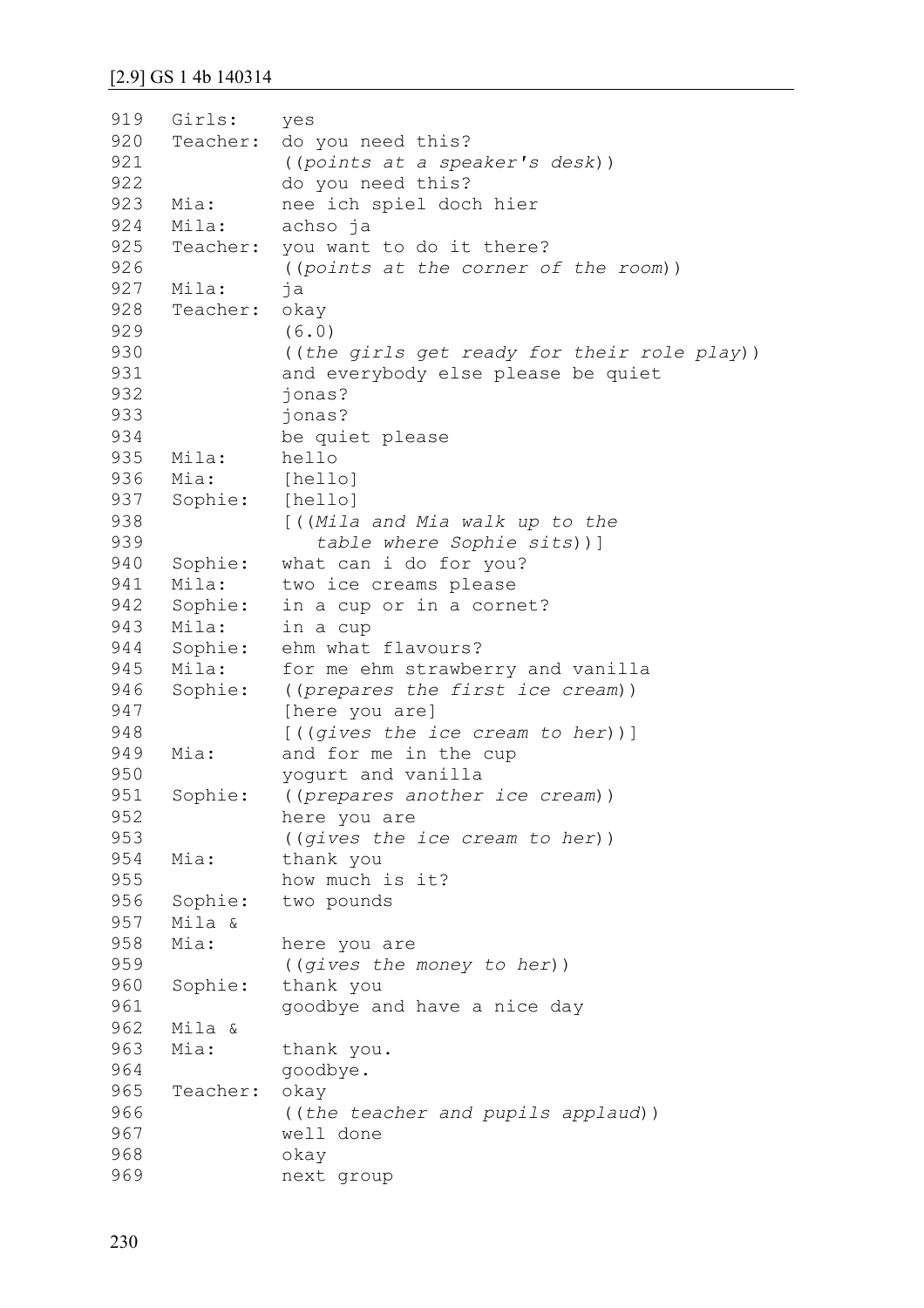| 919 | Girls:   | yes                                         |
|-----|----------|---------------------------------------------|
| 920 | Teacher: | do you need this?                           |
| 921 |          | ((points at a speaker's desk))              |
| 922 |          | do you need this?                           |
| 923 | Mia:     | nee ich spiel doch hier                     |
| 924 | Mila:    | achso ja                                    |
| 925 | Teacher: | you want to do it there?                    |
| 926 |          | ((points at the corner of the room))        |
| 927 | Mila:    | ja                                          |
| 928 | Teacher: | okay                                        |
| 929 |          | (6.0)                                       |
| 930 |          | ((the girls get ready for their role play)) |
| 931 |          | and everybody else please be quiet          |
| 932 |          | jonas?                                      |
| 933 |          | jonas?                                      |
| 934 |          |                                             |
|     |          | be quiet please                             |
| 935 | Mila:    | hello                                       |
| 936 | Mia:     | [hello]                                     |
| 937 | Sophie:  | [hello]                                     |
| 938 |          | [((Mila and Mia walk up to the              |
| 939 |          | table where Sophie sits))]                  |
| 940 | Sophie:  | what can i do for you?                      |
| 941 | Mila:    | two ice creams please                       |
| 942 | Sophie:  | in a cup or in a cornet?                    |
| 943 | Mila:    | in a cup                                    |
| 944 | Sophie:  | ehm what flavours?                          |
| 945 | Mila:    | for me ehm strawberry and vanilla           |
| 946 | Sophie:  | ((prepares the first ice cream))            |
| 947 |          | [here you are]                              |
| 948 |          | $[$ ((gives the ice cream to her))]         |
| 949 | Mia:     | and for me in the cup                       |
| 950 |          | yogurt and vanilla                          |
| 951 | Sophie:  | ((prepares another ice cream))              |
| 952 |          | here you are                                |
| 953 |          | ((gives the ice cream to her))              |
| 954 | Mia:     | thank you                                   |
| 955 |          | how much is it?                             |
| 956 | Sophie:  | two pounds                                  |
| 957 | Mila &   |                                             |
| 958 | Mia:     | here you are                                |
| 959 |          | ((gives the money to her))                  |
| 960 | Sophie:  | thank you                                   |
| 961 |          |                                             |
|     |          | goodbye and have a nice day                 |
| 962 | Mila &   |                                             |
| 963 | Mia:     | thank you.                                  |
| 964 |          | goodbye.                                    |
| 965 | Teacher: | okay                                        |
| 966 |          | ((the teacher and pupils applaud))          |
| 967 |          | well done                                   |
| 968 |          | okay                                        |
| 969 |          | next group                                  |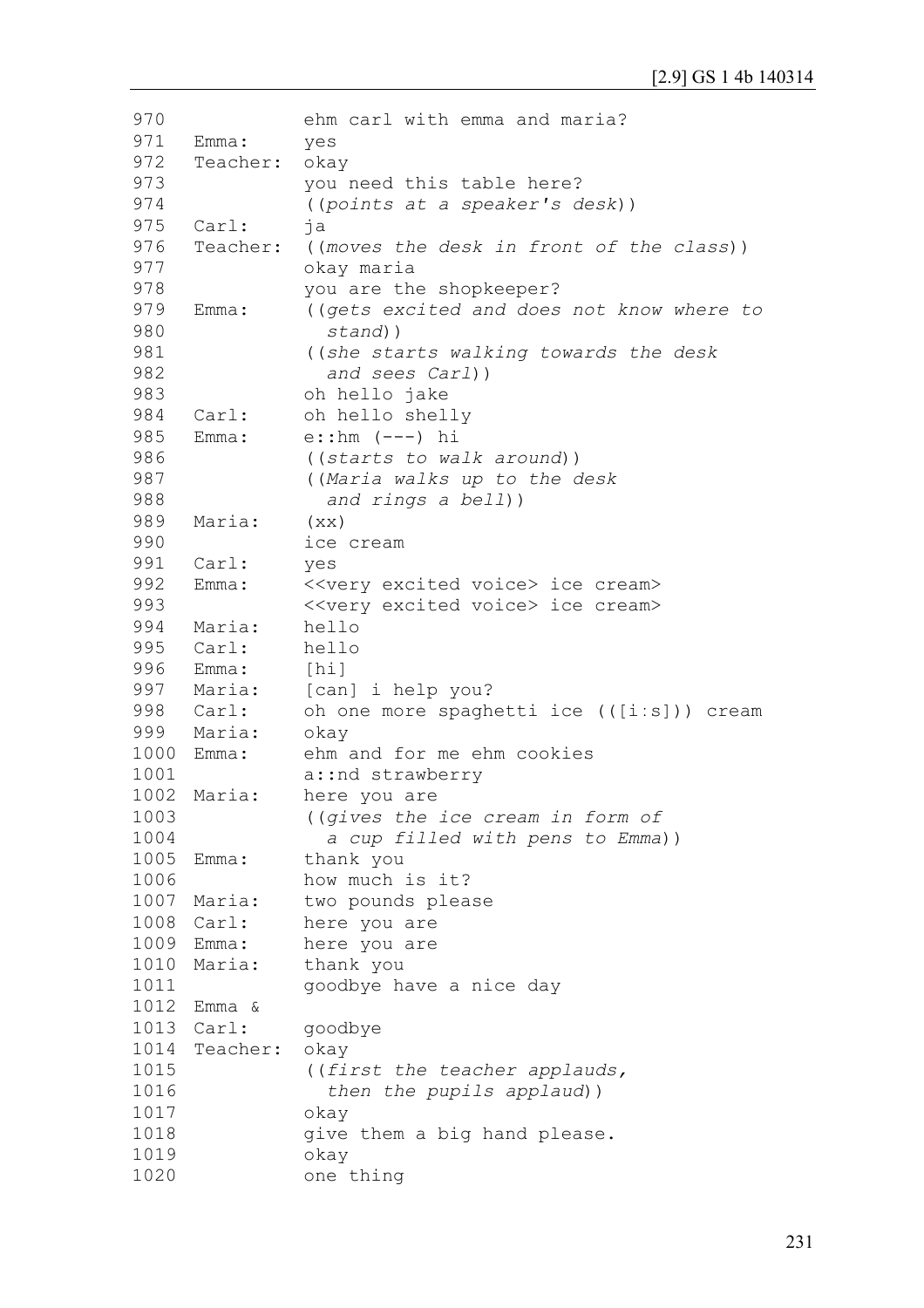| 970  |                  | ehm carl with emma and maria?                     |
|------|------------------|---------------------------------------------------|
| 971  | Emma:            | yes                                               |
| 972  | Teacher:         | okay                                              |
| 973  |                  | you need this table here?                         |
| 974  |                  | ((points at a speaker's desk))                    |
| 975  | Carl:            | ja                                                |
| 976  | Teacher:         | ((moves the desk in front of the class))          |
| 977  |                  | okay maria                                        |
| 978  |                  | you are the shopkeeper?                           |
| 979  | Emma:            | ((gets excited and does not know where to         |
| 980  |                  | stand))                                           |
| 981  |                  | ((she starts walking towards the desk             |
| 982  |                  | and sees Carl))                                   |
| 983  |                  | oh hello jake                                     |
| 984  | $\texttt{Carl:}$ | oh hello shelly                                   |
| 985  | Emma:            | $e:$ : hm $(---)$ hi                              |
| 986  |                  | ((starts to walk around))                         |
| 987  |                  | ((Maria walks up to the desk                      |
| 988  |                  | and rings a bell))                                |
| 989  | Maria:           |                                                   |
| 990  |                  | (xx)<br>ice cream                                 |
| 991  |                  |                                                   |
| 992  | Carl:            | yes                                               |
| 993  | Emma:            | < <very excited="" voice=""> ice cream&gt;</very> |
|      |                  | < <very excited="" voice=""> ice cream&gt;</very> |
| 994  | Maria:           | hello                                             |
| 995  | Carl:            | hello                                             |
| 996  | Emma:            | [hi]                                              |
|      | 997 Maria:       | [can] i help you?                                 |
|      | 998 Carl:        | oh one more spaghetti ice (([i:s])) cream         |
| 999  | Maria:           | okay                                              |
| 1000 | Emma:            | ehm and for me ehm cookies                        |
| 1001 |                  | a:: nd strawberry                                 |
| 1002 | Maria:           | here you are                                      |
| 1003 |                  | ((gives the ice cream in form of                  |
| 1004 |                  | a cup filled with pens to Emma))                  |
| 1005 | Emma:            | thank you                                         |
| 1006 |                  | how much is it?                                   |
| 1007 | Maria:           | two pounds please                                 |
| 1008 | Carl:            | here you are                                      |
| 1009 | Emma:            | here you are                                      |
| 1010 | Maria:           | thank you                                         |
| 1011 |                  | goodbye have a nice day                           |
|      | 1012 Emma &      |                                                   |
| 1013 | Carl:            | goodbye                                           |
| 1014 | Teacher:         | okay                                              |
| 1015 |                  | ((first the teacher applauds,                     |
| 1016 |                  | then the pupils applaud))                         |
| 1017 |                  | okay                                              |
| 1018 |                  | give them a big hand please.                      |
| 1019 |                  | okay                                              |
| 1020 |                  | one thing                                         |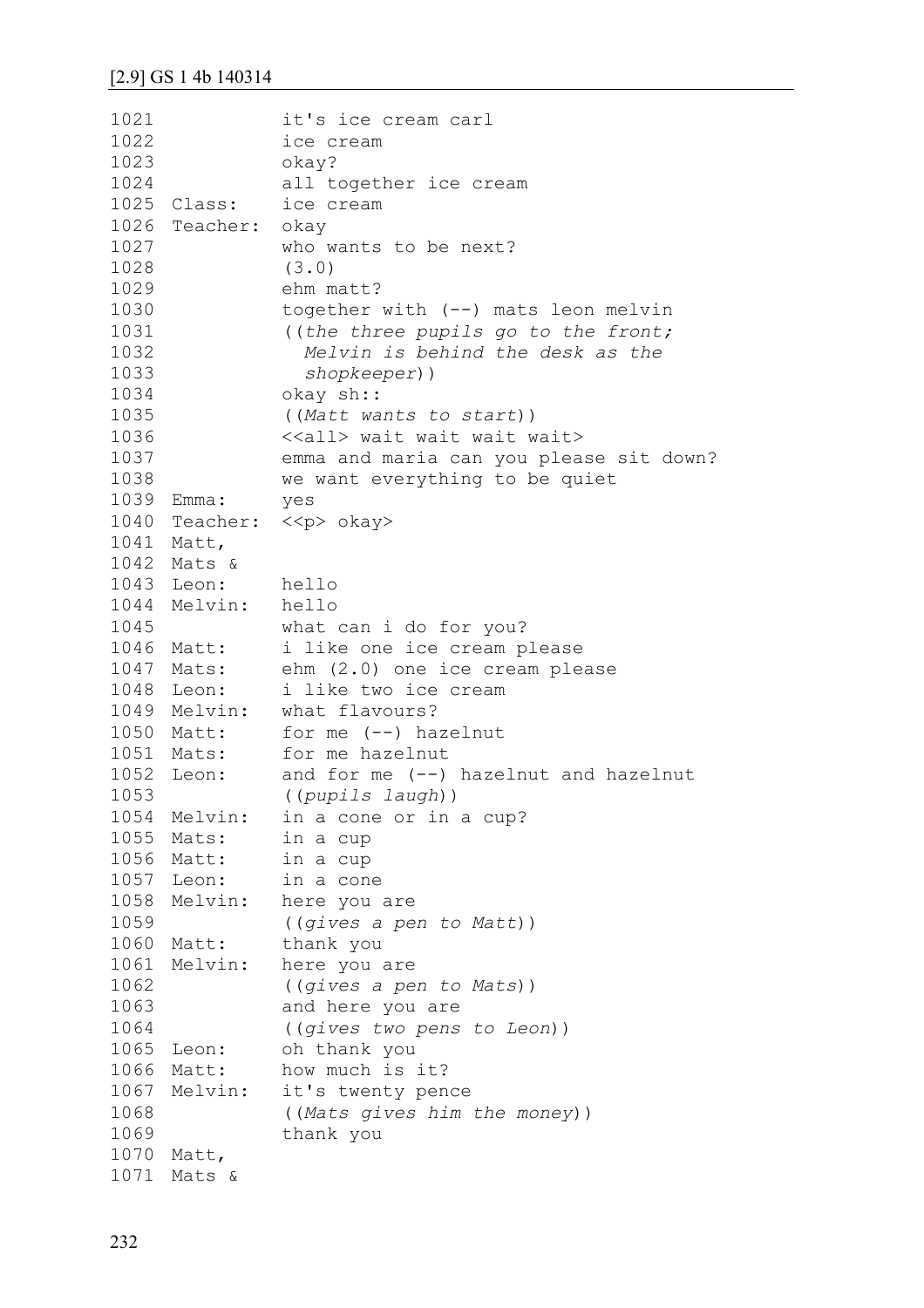| 1021 |                    | it's ice cream carl                     |
|------|--------------------|-----------------------------------------|
| 1022 |                    | ice cream                               |
| 1023 |                    | okay?                                   |
| 1024 |                    | all together ice cream                  |
|      | 1025 Class:        | ice cream                               |
|      | 1026 Teacher: okay |                                         |
| 1027 |                    | who wants to be next?                   |
| 1028 |                    | (3.0)                                   |
| 1029 |                    | ehm matt?                               |
| 1030 |                    | together with (--) mats leon melvin     |
| 1031 |                    | ((the three pupils go to the front;     |
| 1032 |                    | Melvin is behind the desk as the        |
| 1033 |                    | shopkeeper))                            |
| 1034 |                    | okay sh::                               |
| 1035 |                    | ((Matt wants to start))                 |
| 1036 |                    | < <all> wait wait wait wait&gt;</all>   |
| 1037 |                    | emma and maria can you please sit down? |
| 1038 |                    | we want everything to be quiet          |
| 1039 | Emma:              | yes                                     |
| 1040 |                    | Teacher: << p> okay>                    |
|      | 1041 Matt,         |                                         |
|      | 1042 Mats &        |                                         |
|      | 1043 Leon:         | hello                                   |
| 1044 | Melvin: hello      |                                         |
| 1045 |                    | what can i do for you?                  |
| 1046 | Matt:              | i like one ice cream please             |
| 1047 |                    | Mats: ehm (2.0) one ice cream please    |
| 1048 | Leon:              | i like two ice cream                    |
| 1049 |                    | Melvin: what flavours?                  |
|      | 1050 Matt:         | for me $(--)$ hazelnut                  |
|      | 1051 Mats:         | for me hazelnut                         |
|      | 1052 Leon:         | and for me $(--)$ hazelnut and hazelnut |
| 1053 |                    | ((pupils laugh))                        |
| 1054 | Melvin:            | in a cone or in a cup?                  |
| 1055 | Mats:              | in a cup                                |
|      | 1056 Matt:         | in a cup                                |
|      | 1057 Leon:         | in a cone                               |
| 1058 | Melvin:            | here you are                            |
| 1059 |                    | ((gives a pen to Matt))                 |
| 1060 | Matt:              | thank you                               |
| 1061 | Melvin:            | here you are                            |
| 1062 |                    | ((gives a pen to Mats))                 |
| 1063 |                    | and here you are                        |
| 1064 |                    | ((gives two pens to Leon))              |
| 1065 | Leon:              | oh thank you                            |
| 1066 | Matt:              | how much is it?                         |
| 1067 | Melvin:            | it's twenty pence                       |
| 1068 |                    | ((Mats gives him the money))            |
| 1069 |                    | thank you                               |
| 1070 | Matt,              |                                         |
|      | 1071 Mats &        |                                         |
|      |                    |                                         |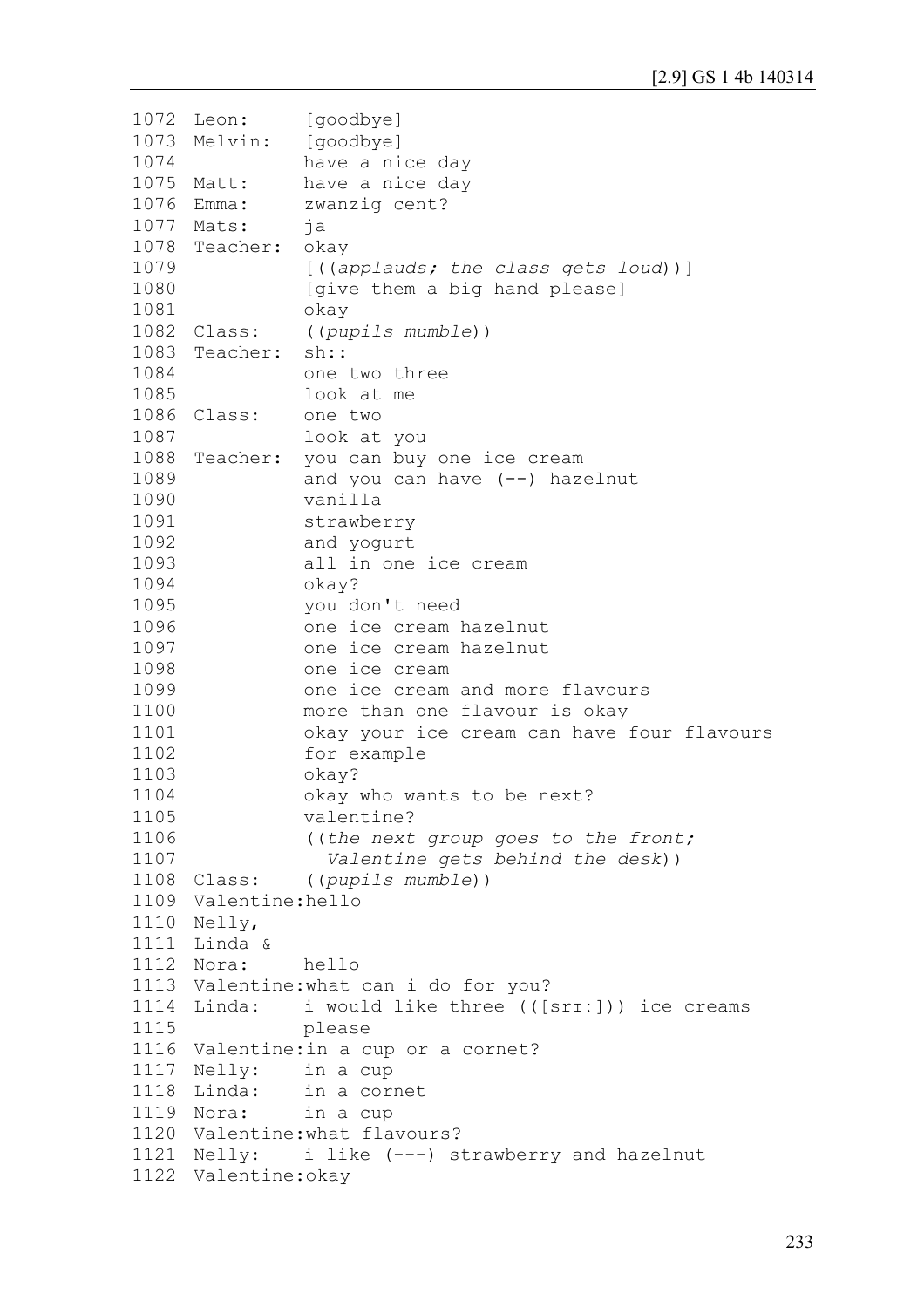```
1072 Leon:
1073 Melvin:
1074
1075 Matt:
1076 Emma:
1077
Mats: ja
1078
Teacher: okay
1079
1080
1081
1082 Class:
1083
Teacher: sh::
1084
1085
1086 Class:
1087
1088
Teacher: you can buy one ice cream
1089
1090
1091
1092
1093
1094
1095
1096
1097
1098
1099
1100
1101
1102
1103
1104
1105
1106
1107
1108 Class:
1109
Valentine:hello
1110
Nelly, 
1111
Linda &
1112 Nora:
1113
Valentine:what can i do for you? 
1114 Linda:
1115
1116
Valentine:in a cup or a cornet?
1117 Nelly:
1118 Linda:
1119 Nora:
1120
Valentine:what flavours?
1121
Nelly: i like (---) strawberry and hazelnut
1122
Valentine:okay [goodbye]
               [goodbye]
                have a nice day
               have a nice day
               zwanzig cent?
                [((applauds; the class gets loud))]
                [give them a big hand please]
                okay
                Class: ((pupils mumble))
                one two three 
                look at me
                one two
                look at you
                and you can have (--) hazelnut 
                vanilla 
                strawberry 
                and yogurt
                all in one ice cream 
                okay? 
               you don't need 
                one ice cream hazelnut 
               one ice cream hazelnut 
               one ice cream
               one ice cream and more flavours
               more than one flavour is okay 
               okay your ice cream can have four flavours 
               for example 
               okay? 
               okay who wants to be next? 
                valentine?
                ((the next group goes to the front; 
                   Valentine gets behind the desk))
                Class: ((pupils mumble))
               hello
               i would like three (([srr:])) ice creams
                please
               in a cup
               in a cornet
               in a cup
```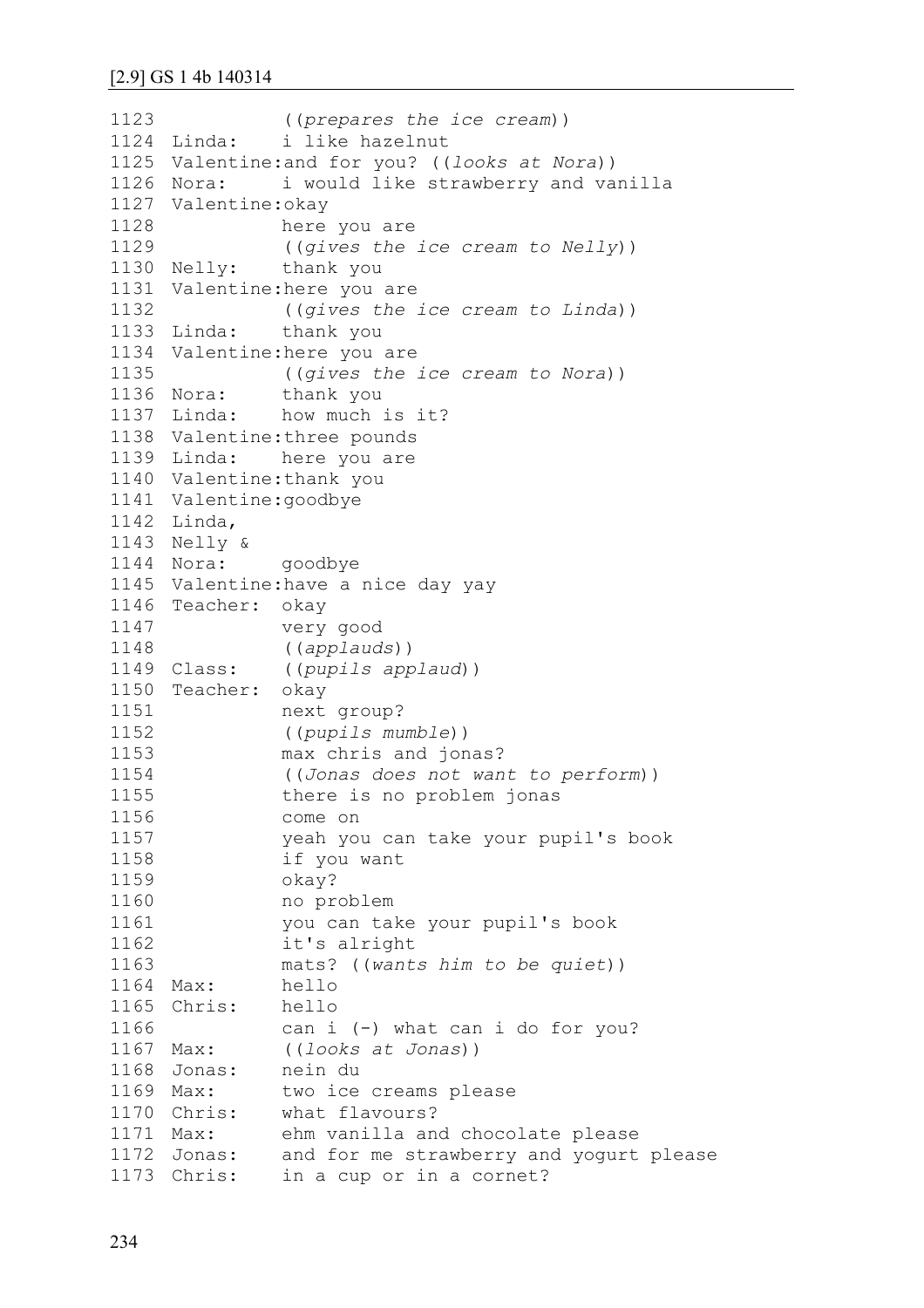```
1123
1124 Linda:
1125
Valentine:and for you? ((looks at Nora))
1126 Nora:
1127
Valentine:okay 
1128
1129
1130 Nelly:
1131
Valentine:here you are 
1132
1133 Linda:
1134
Valentine:here you are 
1135
1136 Nora:
1137 Linda:
1138
Valentine:three pounds 
1139 Linda:
1140
Valentine:thank you
1141
Valentine:goodbye 
1142
Linda,
1143
Nelly &
1144 Nora:
1145
Valentine:have a nice day yay
1146
Teacher: okay 
1147
1148
1149 Class:
1150
Teacher: okay
1151
1152
1153
1154
1155
1156
1157
1158
1159
1160
1161
1162
1163
1164 Max:
1165
Chris: hello 
1166
1167 Max:
1168 Jonas:
1169 Max:
1170 Chris:
1171 Max:
1172
1173
                ((prepares the ice cream))
               i like hazelnut
               i would like strawberry and vanilla
               here you are 
                ((gives the ice cream to Nelly))
               thank you
               ((gives the ice cream to Linda))
               thank you
                ((gives the ice cream to Nora))
               thank you
               how much is it?
               here you are
               goodbye
               very good 
                ((applauds))
               Class: ((pupils applaud))
               next group?
                ((pupils mumble))
               max chris and jonas?
                ((Jonas does not want to perform)) 
               there is no problem jonas
               come on 
               yeah you can take your pupil's book 
               if you want
               okay? 
               no problem 
               you can take your pupil's book 
               it's alright 
               mats? ((wants him to be quiet))
               hello
               can i (-) what can i do for you?
               Max: ((looks at Jonas))
              nein du
               two ice creams please
              what flavours?
              ehm vanilla and chocolate please
      Jonas: and for me strawberry and yogurt please
      Chris: in a cup or in a cornet?
```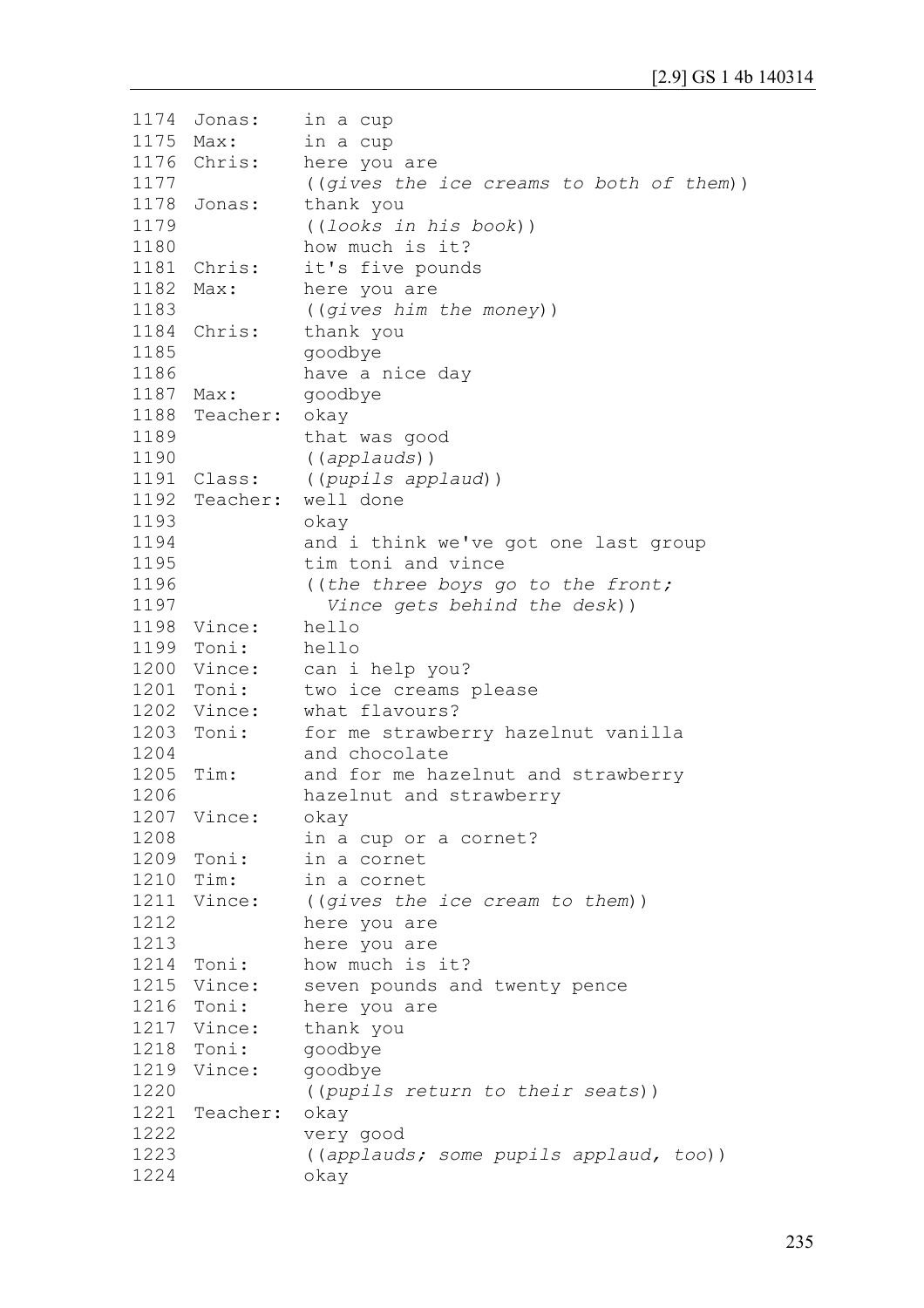| 1174 | Jonas:      | in a cup                                 |
|------|-------------|------------------------------------------|
|      | 1175 Max:   | in a cup                                 |
|      | 1176 Chris: | here you are                             |
| 1177 |             | ((gives the ice creams to both of them)) |
| 1178 | Jonas:      | thank you                                |
| 1179 |             | ((looks in his book))                    |
| 1180 |             | how much is it?                          |
|      | 1181 Chris: | it's five pounds                         |
| 1182 | Max:        | here you are                             |
| 1183 |             | ((gives him the money))                  |
| 1184 | Chris:      | thank you                                |
| 1185 |             | goodbye                                  |
| 1186 |             | have a nice day                          |
| 1187 | Max:        | goodbye                                  |
| 1188 | Teacher:    |                                          |
|      |             | okay                                     |
| 1189 |             | that was good                            |
| 1190 |             | ((applauds))                             |
| 1191 | Class:      | ((pupils applaud))                       |
|      |             | 1192 Teacher: well done                  |
| 1193 |             | okay                                     |
| 1194 |             | and i think we've got one last group     |
| 1195 |             | tim toni and vince                       |
| 1196 |             | ((the three boys go to the front;        |
| 1197 |             | Vince gets behind the desk))             |
| 1198 | Vince:      | hello                                    |
|      | 1199 Toni:  | hello                                    |
|      | 1200 Vince: | can i help you?                          |
|      | 1201 Toni:  | two ice creams please                    |
| 1202 | Vince:      | what flavours?                           |
| 1203 | Toni:       | for me strawberry hazelnut vanilla       |
| 1204 |             | and chocolate                            |
| 1205 | $Tim$ :     | and for me hazelnut and strawberry       |
| 1206 |             | hazelnut and strawberry                  |
| 1207 | Vince:      | okay                                     |
| 1208 |             | in a cup or a cornet?                    |
|      | 1209 Toni:  | in a cornet                              |
| 1210 | Tim:        | in a cornet                              |
|      | 1211 Vince: | ((gives the ice cream to them))          |
| 1212 |             | here you are                             |
| 1213 |             | here you are                             |
| 1214 | Toni:       | how much is it?                          |
|      | 1215 Vince: | seven pounds and twenty pence            |
| 1216 | Toni:       | here you are                             |
| 1217 | Vince:      | thank you                                |
|      | 1218 Toni:  | goodbye                                  |
|      | 1219 Vince: |                                          |
| 1220 |             | goodbye                                  |
|      |             | ((pupils return to their seats))         |
| 1221 | Teacher:    | okay                                     |
| 1222 |             | very good                                |
| 1223 |             | ((applauds; some pupils applaud, too))   |
| 1224 |             | okay                                     |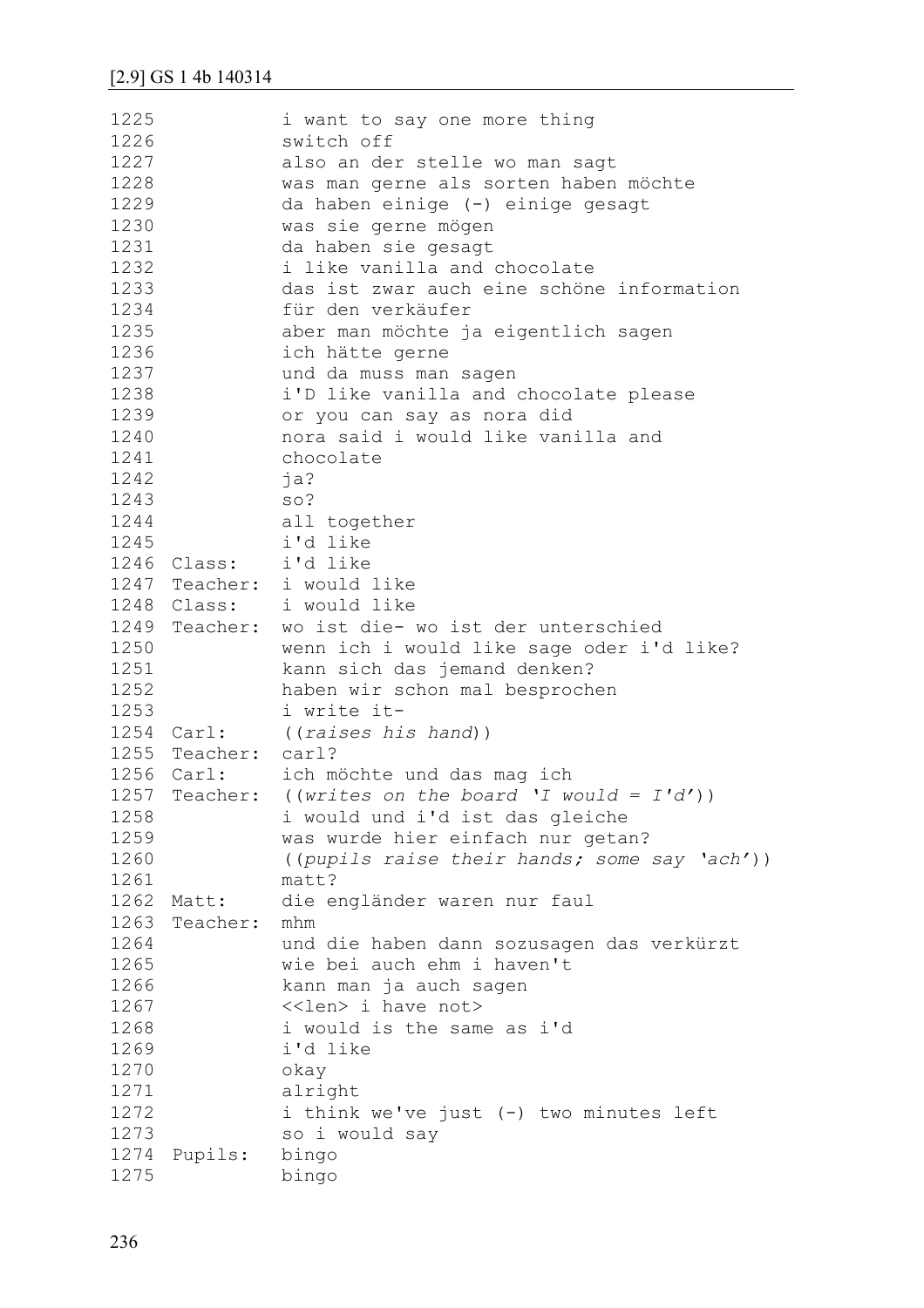| 1225 |                      | i want to say one more thing                           |
|------|----------------------|--------------------------------------------------------|
| 1226 |                      | switch off                                             |
| 1227 |                      | also an der stelle wo man sagt                         |
| 1228 |                      | was man gerne als sorten haben möchte                  |
| 1229 |                      | da haben einige (-) einige gesagt                      |
| 1230 |                      | was sie gerne mögen                                    |
| 1231 |                      | da haben sie gesagt                                    |
| 1232 |                      | i like vanilla and chocolate                           |
| 1233 |                      | das ist zwar auch eine schöne information              |
| 1234 |                      | für den verkäufer                                      |
| 1235 |                      | aber man möchte ja eigentlich sagen                    |
| 1236 |                      | ich hätte gerne                                        |
| 1237 |                      | und da muss man sagen                                  |
| 1238 |                      | i'D like vanilla and chocolate please                  |
| 1239 |                      | or you can say as nora did                             |
| 1240 |                      | nora said i would like vanilla and                     |
| 1241 |                      | chocolate                                              |
| 1242 |                      | ja?                                                    |
| 1243 |                      | $SO$ ?                                                 |
| 1244 |                      | all together                                           |
| 1245 |                      | i'd like                                               |
|      | 1246 Class: i'd like |                                                        |
|      |                      | 1247 Teacher: i would like                             |
|      |                      | 1248 Class: i would like                               |
|      |                      | 1249 Teacher: wo ist die- wo ist der unterschied       |
| 1250 |                      | wenn ich i would like sage oder i'd like?              |
| 1251 |                      | kann sich das jemand denken?                           |
| 1252 |                      | haben wir schon mal besprochen                         |
| 1253 |                      | i write it-                                            |
|      |                      | 1254 Carl: ((raises his hand))                         |
|      | 1255 Teacher: carl?  |                                                        |
|      |                      | 1256 Carl: ich möchte und das mag ich                  |
| 1257 | Teacher:             | ((writes on the board 'I would = $I'd')$ )             |
| 1258 |                      | i would und i'd ist das gleiche                        |
| 1259 |                      | was wurde hier einfach nur getan?                      |
| 1260 |                      | ((pupils raise their hands; some say 'ach'))           |
| 1261 |                      | matt?                                                  |
| 1262 | Matt:                | die engländer waren nur faul                           |
| 1263 | Teacher:             | mhm                                                    |
| 1264 |                      | und die haben dann sozusagen das verkürzt              |
| 1265 |                      | wie bei auch ehm i haven't                             |
| 1266 |                      |                                                        |
|      |                      | kann man ja auch sagen<br>< <len> i have not&gt;</len> |
| 1267 |                      |                                                        |
| 1268 |                      | i would is the same as i'd                             |
| 1269 |                      | i'd like                                               |
| 1270 |                      | okay                                                   |
| 1271 |                      | alright                                                |
| 1272 |                      | i think we've just (-) two minutes left                |
| 1273 |                      | so i would say                                         |
| 1274 | Pupils:              | bingo                                                  |
| 1275 |                      | bingo                                                  |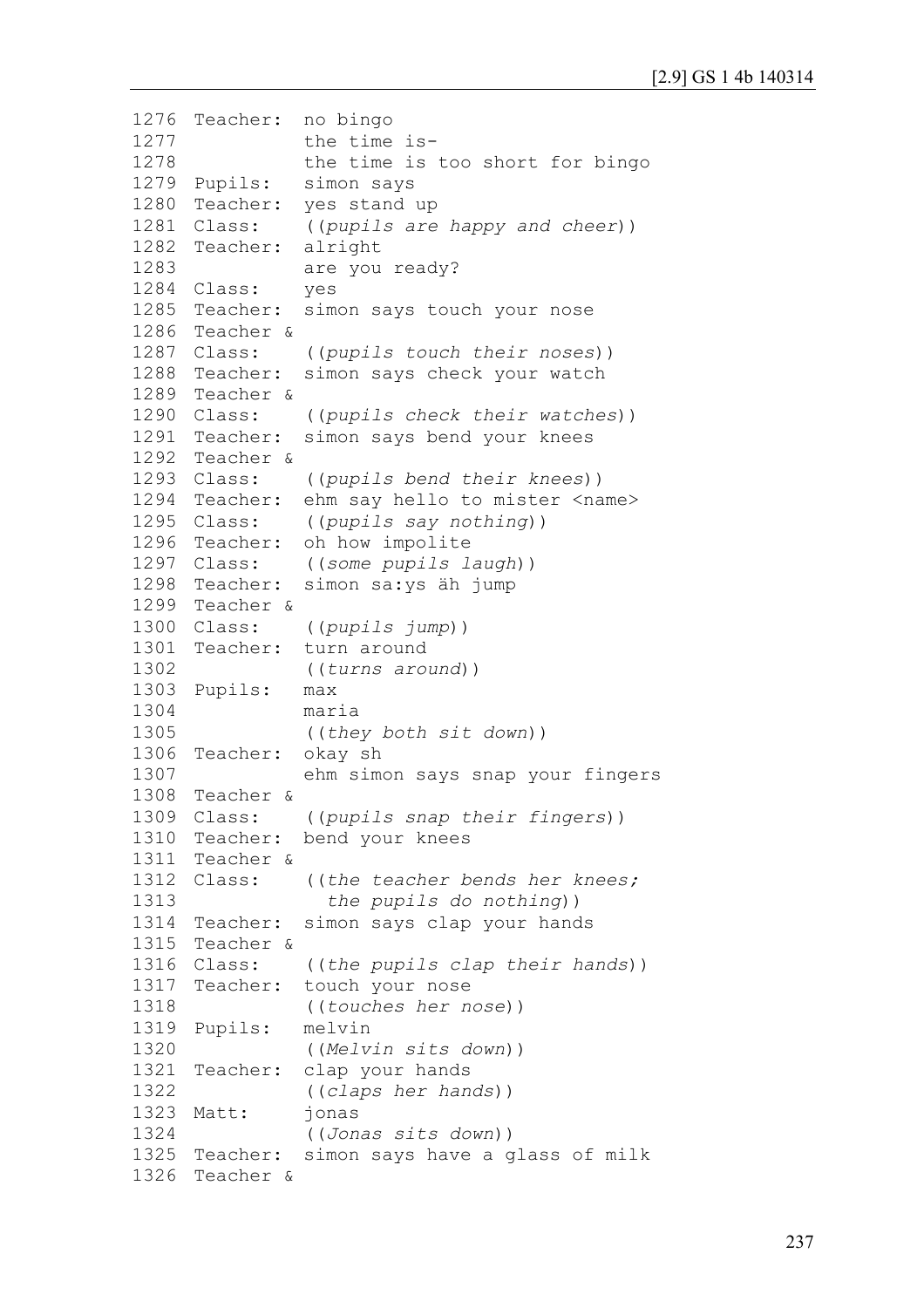```
1276
Teacher: no bingo 
1277
1278
1279 Pupils:
1280
Teacher: yes stand up
1281 Class:
1282
Teacher: alright 
1283
1284
Class: yes
1285 Teacher:
1286
Teacher & 
1287 Class:
1288
Teacher: simon says check your watch 
1289
Teacher & 
1290 Class:
1291
Teacher: simon says bend your knees 
1292
Teacher & 
1293 Class:
1294
Teacher: ehm say hello to mister <name> 
1295 Class:
1296
Teacher: oh how impolite
1297 Class:
1298
Teacher: simon sa:ys äh jump 
1299
Teacher & 
1300 Class:
1301
Teacher: turn around
1302
1303
Pupils: max
1304
1305
1306
Teacher: okay sh
1307
1308
Teacher & 
1309 Class:
1310
Teacher: bend your knees
1311
Teacher & 
1312 Class:
1313
1314
Teacher: simon says clap your hands 
1315
Teacher & 
1316 Class:
1317
Teacher: touch your nose 
1318
1319
Pupils: melvin 
1320
1321
Teacher: clap your hands 
1322
1323 Matt:
1324
1325 Teacher:
1326
Teacher & the time is-
               the time is too short for bingo
               simon says
               ((pupils are happy and cheer))
                are you ready?
               simon says touch your nose
                Class: ((pupils touch their noses)) 
               Class: ((pupils check their watches))
                Class: ((pupils bend their knees)) 
               ((pupils say nothing))
               Class: ((some pupils laugh))
                Class: ((pupils jump))
                ((turns around))
               maria
                ((they both sit down))
                ehm simon says snap your fingers
               Class: ((pupils snap their fingers)) 
                ((the teacher bends her knees;
                   the pupils do nothing)) 
               Class: ((the pupils clap their hands))
                ((touches her nose))
                ((Melvin sits down))
                ((claps her hands))
                ionas
                ((Jonas sits down))
               simon says have a glass of milk
```